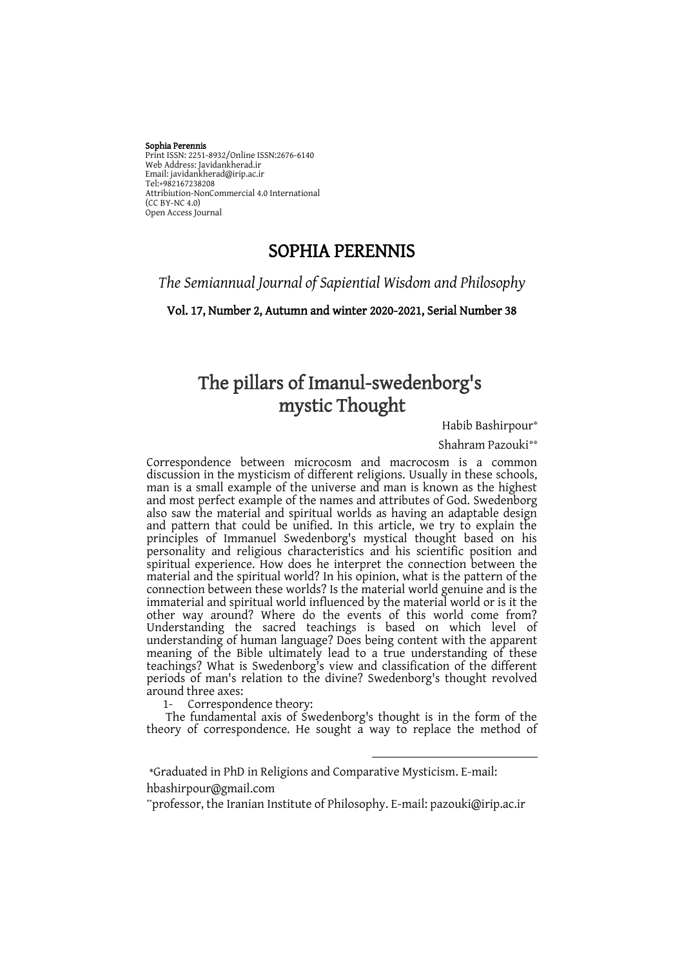#### Sophia Perennis Print ISSN: 2251-8932/Online ISSN:2676-6140 Web Address: Javidankherad.ir Email[: javidankherad@irip.ac.ir](mailto:javidankherad@irip.ac.ir) Email: javidankner<br>[Tel:+982167238208](tel:+982167238208)<br>Attribistion NanG Attribiution-NonCommercial 4.0 International (CC BY-NC 4.0) Open Access Journal

# SOPHIA PERENNIS

*The Semiannual Journal of Sapiential Wisdom and Philosophy*

Vol. 17, Number 2, Autumn and winter 2020-2021, Serial Number 38

# The pillars of Imanul-swedenborg's mystic Thought

\* Habib Bashirpour

Shahram Pazouki\*\*

Correspondence between microcosm and macrocosm is a common discussion in the mysticism of different religions. Usually in these schools, man is a small example of the universe and man is known as the highest and most perfect example of the names and attributes of God. Swedenborg also saw the material and spiritual worlds as having an adaptable design and pattern that could be unified. In this article, we try to explain the principles of Immanuel Swedenborg's mystical thought based on his personality and religious characteristics and his scientific position and spiritual experience. How does he interpret the connection between the material and the spiritual world? In his opinion, what is the pattern of the connection between these worlds? Is the material world genuine and is the immaterial and spiritual world influenced by the material world or is it the other way around? Where do the events of this world come from? Understanding the sacred teachings is based on which level of understanding of human language? Does being content with the apparent meaning of the Bible ultimately lead to a true understanding of these teachings? What is Swedenborg's view and classification of the different periods of man's relation to the divine? Swedenborg's thought revolved around three axes:

1- Correspondence theory:

The fundamental axis of Swedenborg's thought is in the form of the theory of correspondence. He sought a way to replace the method of

 $\overline{a}$ 

hbashirpour@gmail.com

<sup>\*</sup>Graduated in PhD in Religions and Comparative Mysticism. E-mail:

<sup>\*</sup>professor, the Iranian Institute of Philosophy. E-mail: pazouki@irip.ac.ir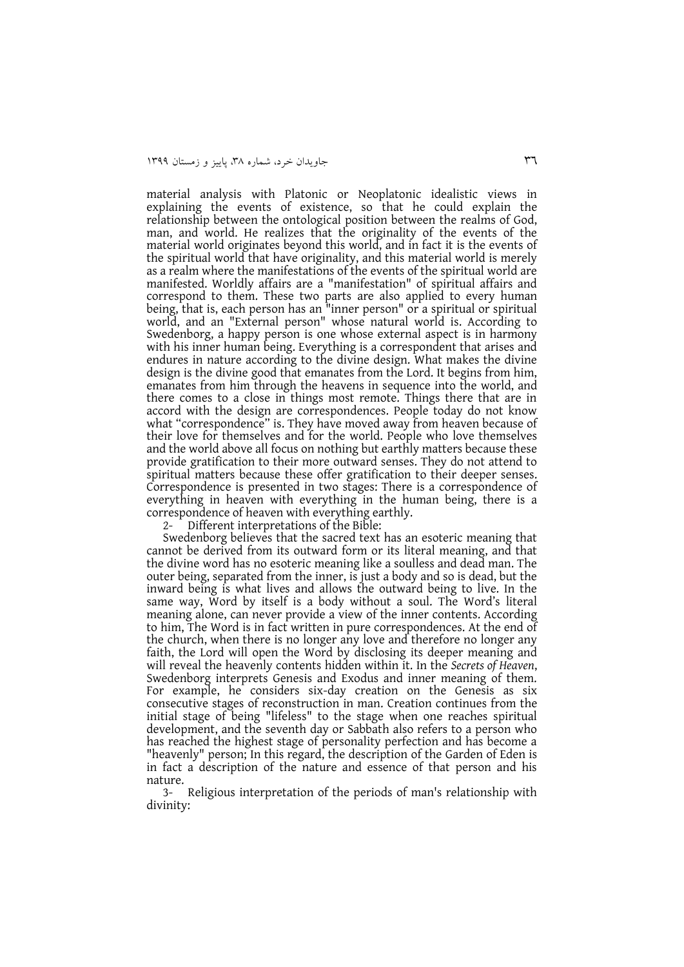material analysis with Platonic or Neoplatonic idealistic views in explaining the events of existence, so that he could explain the relationship between the ontological position between the realms of God, man, and world. He realizes that the originality of the events of the material world originates beyond this world, and in fact it is the events of the spiritual world that have originality, and this material world is merely as a realm where the manifestations of the events of the spiritual world are manifested. Worldly affairs are a "manifestation" of spiritual affairs and correspond to them. These two parts are also applied to every human being, that is, each person has an "inner person" or a spiritual or spiritual world, and an "External person" whose natural world is. According to Swedenborg, a happy person is one whose external aspect is in harmony with his inner human being. Everything is a correspondent that arises and endures in nature according to the divine design. What makes the divine design is the divine good that emanates from the Lord. It begins from him, emanates from him through the heavens in sequence into the world, and there comes to a close in things most remote. Things there that are in accord with the design are correspondences. People today do not know what "correspondence" is. They have moved away from heaven because of their love for themselves and for the world. People who love themselves and the world above all focus on nothing but earthly matters because these provide gratification to their more outward senses. They do not attend to spiritual matters because these offer gratification to their deeper senses. Correspondence is presented in two stages: There is a correspondence of everything in heaven with everything in the human being, there is a correspondence of heaven with everything earthly.

2- Different interpretations of the Bible:

Swedenborg believes that the sacred text has an esoteric meaning that cannot be derived from its outward form or its literal meaning, and that the divine word has no esoteric meaning like a soulless and dead man. The outer being, separated from the inner, is just a body and so is dead, but the inward being is what lives and allows the outward being to live. In the same way, Word by itself is a body without a soul. The Word's literal meaning alone, can never provide a view of the inner contents. According to him, The Word is in fact written in pure correspondences. At the end of the church, when there is no longer any love and therefore no longer any faith, the Lord will open the Word by disclosing its deeper meaning and will reveal the heavenly contents hidden within it. In the *Secrets of Heaven*, Swedenborg interprets Genesis and Exodus and inner meaning of them. For example, he considers six-day creation on the Genesis as six consecutive stages of reconstruction in man. Creation continues from the initial stage of being "lifeless" to the stage when one reaches spiritual development, and the seventh day or Sabbath also refers to a person who has reached the highest stage of personality perfection and has become a "heavenly" person; In this regard, the description of the Garden of Eden is in fact a description of the nature and essence of that person and his nature.

3- Religious interpretation of the periods of man's relationship with divinity: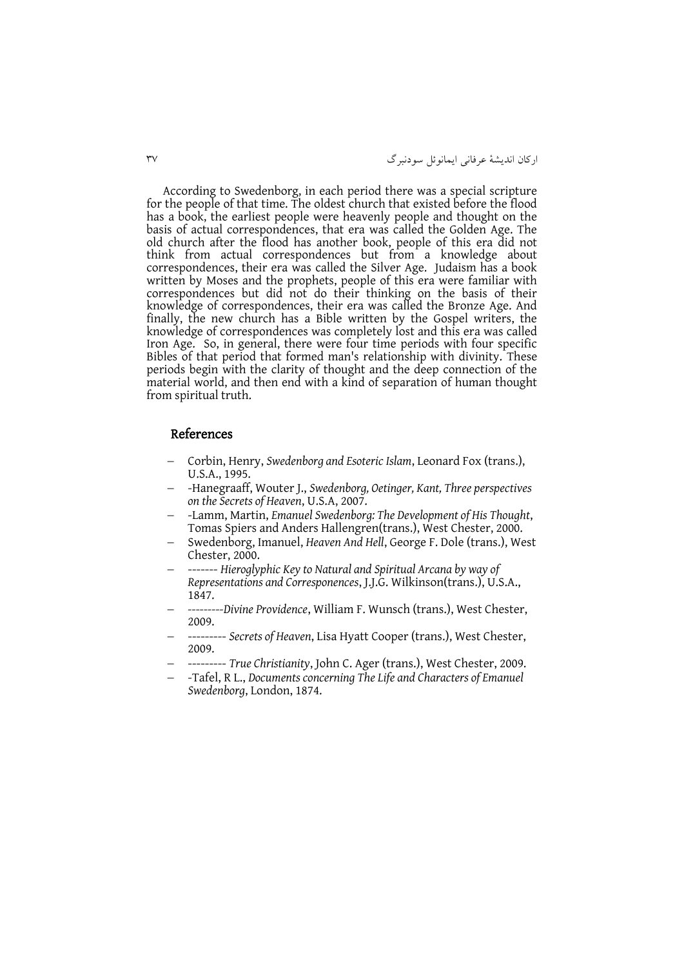ارکان انديشۀ عرفانی ايمانوئل سودنبرگ 63

According to Swedenborg, in each period there was a special scripture for the people of that time. The oldest church that existed before the flood has a book, the earliest people were heavenly people and thought on the basis of actual correspondences, that era was called the Golden Age. The old church after the flood has another book, people of this era did not think from actual correspondences but from a knowledge about correspondences, their era was called the Silver Age. Judaism has a book written by Moses and the prophets, people of this era were familiar with correspondences but did not do their thinking on the basis of their knowledge of correspondences, their era was called the Bronze Age. And finally, the new church has a Bible written by the Gospel writers, the knowledge of correspondences was completely lost and this era was called Iron Age. So, in general, there were four time periods with four specific Bibles of that period that formed man's relationship with divinity. These periods begin with the clarity of thought and the deep connection of the material world, and then end with a kind of separation of human thought from spiritual truth.

#### References

- Corbin, Henry, *Swedenborg and Esoteric Islam*, Leonard Fox (trans.), U.S.A., 1995.
- -Hanegraaff, Wouter J., *Swedenborg, Oetinger, Kant, Three perspectives on the Secrets of Heaven*, U.S.A, 2007.
- -Lamm, Martin, *Emanuel Swedenborg: The Development of His Thought*, Tomas Spiers and Anders Hallengren(trans.), West Chester, 2000.
- Swedenborg, Imanuel, *Heaven And Hell*, George F. Dole (trans.), West Chester, 2000.
- ------- *Hieroglyphic Key to Natural and Spiritual Arcana by way of Representations and Corresponences*, J.J.G. Wilkinson(trans.), U.S.A., 1847.
- *---------Divine Providence*, William F. Wunsch (trans.), West Chester, 2009.
- --------- *Secrets of Heaven*, Lisa Hyatt Cooper (trans.), West Chester, 2009.
- --------- *True Christianity*, John C. Ager (trans.), West Chester, 2009.
- -Tafel, R L., *Documents concerning The Life and Characters of Emanuel Swedenborg*, London, 1874.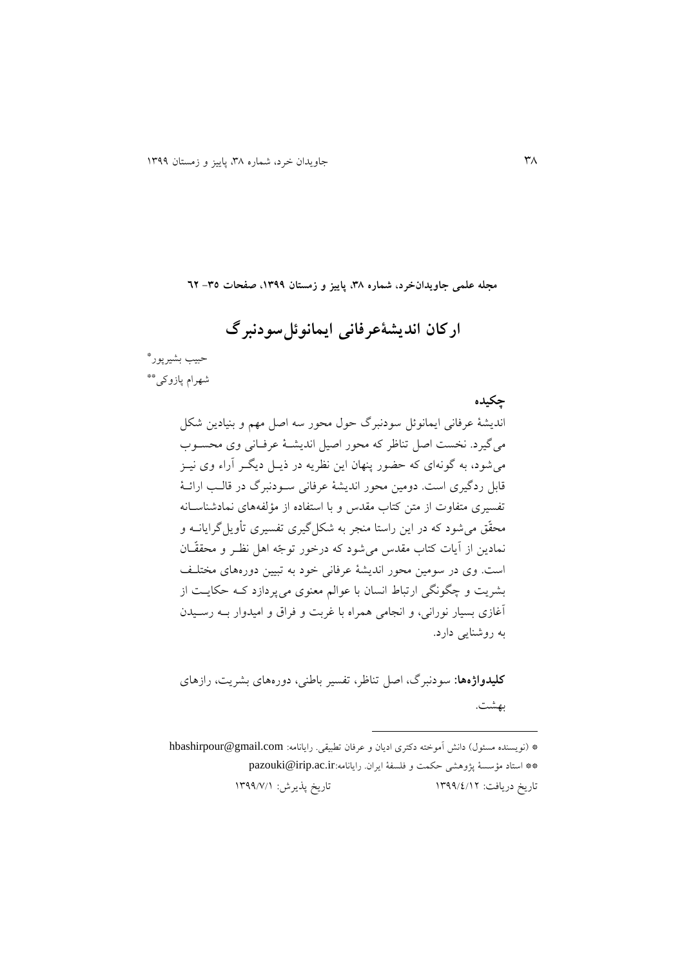**مجله علمی جاویدانخرد، شماره ،83 پاییز و زمستان ،9811 صفحات -83 26**

**ارکان اندیشۀعرفانی ایمانوئلسودنبرگ**

حبیب بشیرپور\* \*\* شهرام پازوکی

**چکیده**

انديشۀ عرفانی ايمانوئل سودنبرگ حول محور سه اصل مهم و بنیادين شکل میگیرد. نخست اصل تناظر که محور اصیل اندیشـهٔ عرفـانی وی محســوب می شود، به گونهای که حضور پنهان اين نظريه در ذيــل ديگــر آراء وی نيــز قابل ردگیری است. دومین محور اندیشۀ عرفانی سـودنبرگ در قالـب ارائـۀ تفسیری متفاوت از متن کتاب مقدس و با استفاده از مؤلفههای نمادشناسانه محقّق میشود که در اين راستا منجر به شکلگیری تفسیری تأويلگرايانةه و نمادين از آيات کتاب مقدس می شود که درخور توجّه اهل نظـر و محققّـان است. وی در سومین محور انديشۀ عرفانی خود به تبیین دورههای مختلة بشريت و چگونگی ارتباط انسان با عوالم معنوی می پردازد کـه حکايـت از اغازی بسیار نورانی، و انجامی همراه با غربت و فراق و امیدوار بةه رسةیدن به روشنايی دارد.

**کلیدواژهها:** سودنبرگ، اصل تناظر، تفسیر باطنی، دورههای بشريت، رازهای بهشت.

\* (نويسنده مسئول) دانش آموخته دکتری اديان و عرفان تطبيقی. رايانامه: hbashirpour@gmail.com \*\* استاد مؤسسۀ پژوهشی حکمت و فلسفۀ ايران. رايانامه:[ir.ac.irip@pazouki](mailto:pazouki@irip.ac.ir) تاريخ دريافت: 9611/4/91 تاريخ پذيرش: 9611/3/9

 $\overline{a}$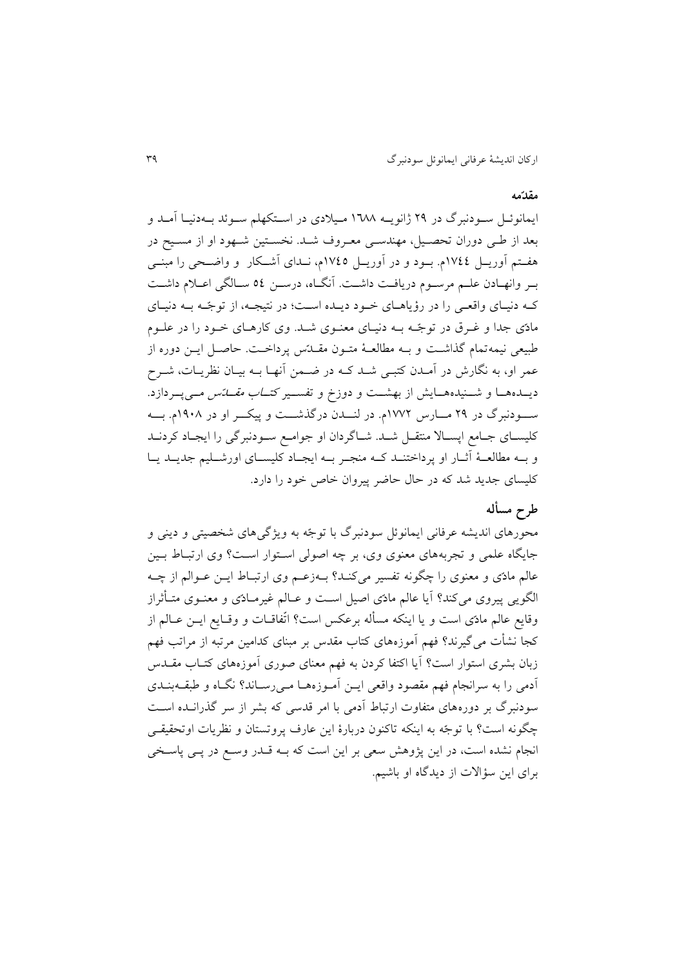#### **مقدّمه**

ايمانوئـل سـودنبرگ در ٢٩ ژانويــه ١٦٨٨ مـيلادي در اسـتکهلم سـوئد بــهدنيـا آمــد و بعد از طـی دوران تحصـیل، مهندسـی معـروف شـد. نخسـتین شـهود او از مسـیح در هفـتم آوريــل ١٧٤٤م. بــود و در آوريــل ١٧٤٥م، نــدای آشــکار و واضــحی را مبنــی بـر وانهـادن علـم مرسـوم دريافـت داشـت. آنگـاه، درسـن ٥٤ سـالگی اعـلام داشـت که دنیای واقعی را در رؤياهای خود ديىده است؛ در نتیجه، از توجّه بـه دنیای مادّی جدا و غـرق در توجّـه بــه دنیـای معنــوی شــد. وی کارهــای خــود را در علــوم طبیعی نیمهتمام گذاشت و بـه مطالعـهٔ متـون مقــدّس پرداخـت. حاصـل ايــن دوره از عمر او، به نگارش در آمـدن کتبـی شـد کـه در ضـمن انهـا بـه بیـان نظریـات، شـرح ديـــدههـــا و شــــنیدههـــایش از بهشـــت و دوزخ و تفســـیر کت*ـــاب مقــــاتس مـــی*پـــردازد. سه ودنبرگ در ۲۹ مسارس ۱۷۷۲م. در لنسدن درگذشست و پیکسر او در ۱۹۰۸م. بسه کلیسـای جـامع اپسـالا منتقــل شــد. شــاگردان او جوامــع ســودنبرگی را ايجـاد کردنــد و بـه مطالعـهٔ أثــار او پرداختنــد کــه منجـر بــه ايجــاد کليســای اورشــليم جديــد يــا کلیسای جديد شد که در حال حاضر پيروان خاص خود را دارد.

## **طرح مسأله**

محورهای انديشه عرفانی ايمانوئل سودنبرگ با توجّه به ويژگیهای شخصیتی و دينی و جایگاه علمی و تجربههای معنوی وی، بر چه اصولی استوار است؟ وی ارتباط بـین عالم مادّی و معنوی را چگونه تفسیر میکند؟ بـهزعـم وی ارتبـاط ايــن عــوالـم از چــه الگویی پیروی میکند؟ آیا عالم مادّی اصیل است و عـالم غیرمـادّی و معنــوی متــأثراز وقايع عالم مادّی است و يا اينکه مسأله برعکس است؟ اتّفاقــات و وقــايع ايــن عــالـم از کجا نشأت می گیرند؟ فهم اَموزههای کتاب مقدس بر مبنای کدامین مرتبه از مراتب فهم زبان بشری استوار است؟ آيا اکتفا کردن به فهم معنای صوری آموزههای کتـاب مقــدس ادمی را به سرانجام فهم مقصود واقعی ايـن اَمـوزههـا مـیرسـاند؟ نگـاه و طبقــهبنــدی سودنبرگ بر دورههای متفاوت ارتباط آدمی با امر قدسی که بشر از سر گذرانــده اسـت چگونه است؟ با توجّه به اينکه تاکنون دربارهٔ اين عارف پروتستان و نظريات اوتحقیق<sub>ـی</sub> انجام نشده است، در اين پژوهش سعی بر اين است که بـه قـدر وسـع در پـی پاسـخی برای اين سؤالت از ديدگاه او باشیم.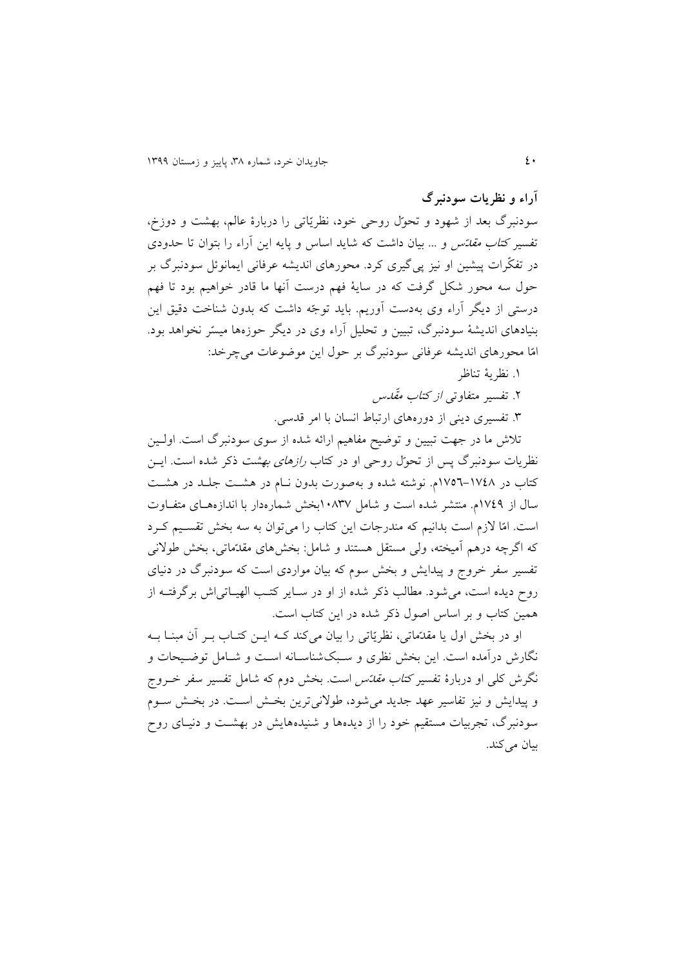**آراء و نظریات سودنبرگ**

سودنبرگ بعد از شهود و تحوّل روحی خود، نظريّاتی را دربارة عابم، بهشت و دوزت، تفسیر *کتاب مقدّس* و ... بیان داشت که شاید اساس و پایه این آراء را بتوان تا حدودی در تفکّرات پیشین او نیز پیگیری کرد. محورهای انديشه عرفانی ايمانوئل سودنبرگ بر حول سه محور شکل گرفت که در سايۀ فهم درست انها ما قادر خواهیم بود تا فهم درستی از ديگر آراء وی بهدست آوريم. بايد توجّه داشت که بدون شناخت دقيق اين بنیادهای انديشۀ سودنبرگ، تبیین و تحلیل ارا وی در ديرر حوزهها میسّر نخواهد بود. امّا محورهای انديشه عرفانی سودنبرگ بر حول اين موروعات میچرخد:

.9 نظريۀ تناظر

۲. تفسیر ًمتفاوت*ی از کتاب مقّدس* 

.6 تفسیری دينی از دورههای ارتباط انسان با امر قدسی.

تلاش ما در جهت تبیین و توضیح مفاهیم ارائه شده از سوی سودنبرگ است. اولـین نظريات سودنبرگ پس از تحوّل روحی او در کتاب *رازهای بهشت* ذکر شده است. ايــن کتاب در ۱۷۷۵–۱۷۵۲م. نوشته شده و بهصورت بدون نـام در هشـت جلـد در هشـت سال از 9341م. منتشر شده است و شامل 99363بخش شمارهدار با اندازههةای متفةاوت است. امّا لازم است بدانیم که مندرجات این کتاب را میتوان به سه بخش تقسیم کـرد که اگرچه درهم امیخته، وبی مستقل هستند و شامل: بخشهای مقدّماتی، بخش طولنی تفسیر سفر خروج و پیدايش و بخش سوم که بیان مواردی است که سودنبرگ در دنیای روح ديده است، می شود. مطالب ذکر شده از او در سـاير کتـب الهيـاتی اش برگرفتـه از همین کتاب و بر اساس اصول ذکر شده در اين کتاب است.

او در بخش اول يا مقدّماتی، نظريّاتی را بيان میکند کـه ايــن کتــاب بــر آن مبنــا بــه نگارش درآمده است. اين بخش نظری و سـبکشناسـانه اسـت و شـامل توضـيحات و نگرش کلی او دربارهٔ تفسیر *کتاب مقدّس* است. بخش دوم که شامل تفسیر سفر خــروج و پیدايش و نيز تفاسير عهد جديد می شود، طولانی ترين بخش است. در بخش سـوم سودنبرگ، تجربیات مستقیم خود را از دیدهها و شنیدههایش در بهشت و دنیـای روح بیان می کند.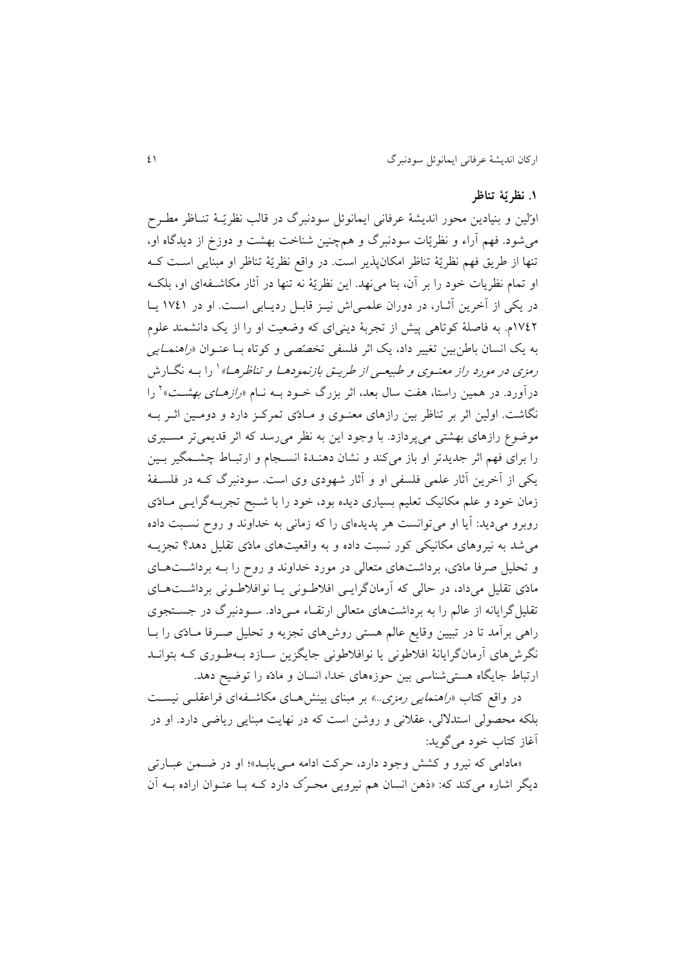### **.9 نظریّۀ تناظر**

اوّلین و بنیادین محور اندیشۀ عرفانی ایمانوئل سودنبرگ در قالب نظریّـهٔ تنـاظر مطـرح میشود. فهم ارا و نظريّات سودنبرگ و همچنین شناخت بهشت و دوزت از ديدگاه او، تنها از طريق فهم نظريّۀ تناظر امکانپذير است. در واقس نظريّۀ تناظر او مبنايی اسةت کةه او تمام نظريات خود را بر آن، بنا می نهد. اين نظريّۀ نه تنها در آثار مکاشـفهای او، بلکـه در يکی از آخرين آثـار، در دوران علمـی اش نيـز قابـل رديـابی اسـت. او در ١٧٤١ يـا ١٧٤٢م. به فاصلۀ کوتاهی پیش از تجربۀ دينیای که وضعیت او را از يک دانشمند علوم به يک انسان باطنبين تغيیر داد، يک اثر فلسفی تخصّصی و کوتاه بـا عنـوان *«راهنمـايی* رمزی در مورد راز معنــوی و طبیعــی از طریــق بازنمودهــا و تناظرهــا» <sup>۱</sup> را بــه نگــارش درآورد. در همین راستا، هفت سال بعد، اثر بزرگ خــود بــه نــام *«رازهــای بهشــت*»<sup>۲</sup> را نگاشت. اولین اثر بر تناظر بین رازهای معنـوی و مـادّی تمرکـز دارد و دومـین اثـر بـه موضوع رازهای بهشتی میپردازد. با وجود اين به نظر میرسد که اثر قديمیتر مسـيری را برای فهم اثر جديدتر او باز میکند و نشان دهنـدهٔ انسـجام و ارتبـاط چشـمگیر بـین يکی از آخرين آثار علمی فلسفی او و آثار شهودی وی است. سودنبرگ کـه در فلسـفۀ زمان خود و علم مکانیک تعلیم بسیاری دیده بود، خود را با شـبح تجربـهگرايــی مــادّی روبرو می ديد: آيا او می توانست هر پديدهای را که زمانی به خداوند و روح نسبت داده میشد به نیروهای مکانیکی کور نسبت داده و به واقعیتهای مادّی تقلیل دهد تجزيةه و تحلیل صرفا مادّی، برداشتهای متعالی در مورد خداوند و روح را بــه برداشــتهــای مادّی تقلیل میداد، در حالی که آرمانگرايسی افلاطونی يـا نوافلاطـونی برداشـتهـای تقلیل گرایانه از عالم را به برداشتهای متعالی ارتقـاء مـیداد. سـودنبرگ در جسـتجوی راهی برآمد تا در تبیین وقایع عالم هستی روشهای تجزیه و تحلیل صـرفا مـادّی را بـا نگرشهای آرمانگرايانۀ افلاطونی يا نوافلاطونی جايگزين سـازد بـهطـوری کـه بتوانــد ارتباط جايگاه هستی شناسی بين حوزههای خدا، انسان و مادّه را توضيح دهد.

در واقع کتاب *«راهنمايی رمزی...»* بر مبنای بینش هـای مکاشـفه|ی فراعقلـی نیسـت بلکه محصولی استدلالی، عقلانی و روشن است که در نهايت مبنايی رياضی دارد. او در آغاز کتاب خود می گويد:

«مادامی که نیرو و کشش وجود دارد، حرکت ادامه می یابـد»؛ او در ضـمن عبـارتی ديگر اشاره میکند که: «ذهن انسان هم نيرويی محـرّک دارد کـه بـا عنـوان اراده بــه آن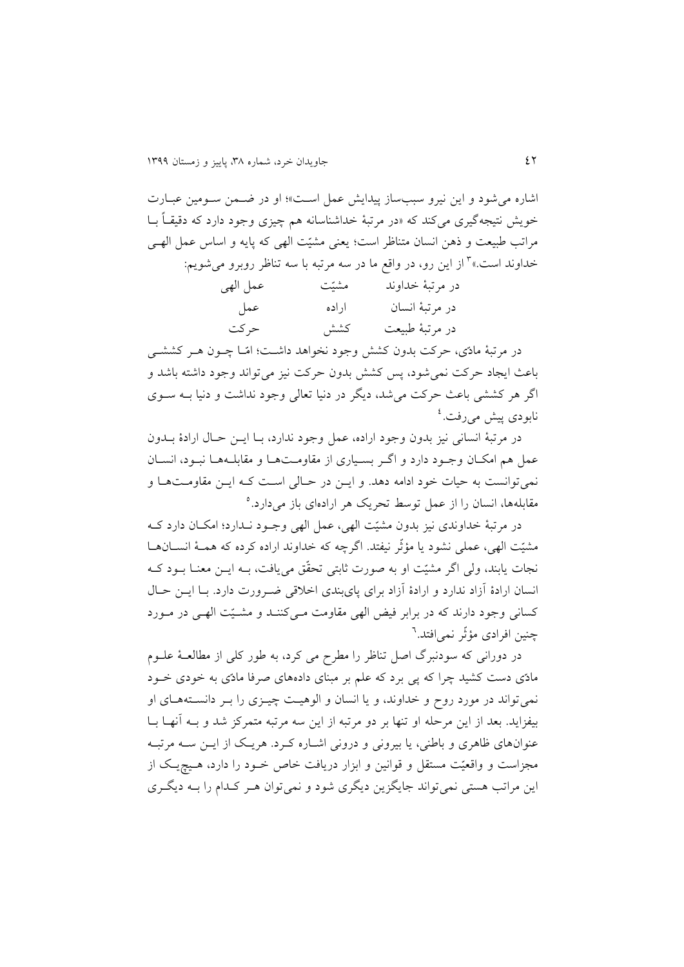اشاره می شود و اين نيرو سببساز پيدايش عمل است»؛ او در ضمن سومين عبارت خويش نتیجهگیری میکند که »در مرتبۀ خداشناسانه هم چیزی وجود دارد که دقیقةا بةا مراتب طبیعت و ذهن انسان متناظر است؛ يعنی مشیّت ابهی که پايه و اساس عمل ابهةی خداوند است.»<sup>۳</sup> از این رو، در واقع ما در سه مرتبه با سه تناظر روبرو میشویم:

| عمل الهي | مشيّت | در مرتبهٔ خداوند |
|----------|-------|------------------|
| عمل      | اراده | در مرتبهٔ انسان  |
| حركت     | كشش   | در مرتبهٔ طبیعت  |

در مرتبۀ مادّی، حرکت بدون کشش وجود نخواهد داشت؛ امّـا چــون هــر کششــی باعث ايجاد حرکت نمیشود، پس کشش بدون حرکت نیز میتواند وجود داشته باشد و اگر هر کششی باعث حرکت می شد، ديگر در دنيا تعالی وجود نداشت و دنيا بــه ســوی نابودی پیش میرفت.<sup>؛</sup>

در مرتبۀ انسانی نیز بدون وجود اراده، عمل وجود ندارد، بـا ايــن حـال ارادۀ بــدون عمل هم امکان وجـود دارد و اگـر بسـياری از مقاومـتهـا و مقابلـههـا نبـود، انسـان نمی توانست به حیات خود ادامه دهد. و ايــن در حــالی اسـت کــه ايــن مقاومــتهــا و مقابلهها، انسان را از عمل توسط تحريک هر ارادهای باز میدارد.<sup>ه</sup>

در مرتبۀ خداوندی نیز بدون مشیّت الهی، عمل الهی وجـود نـدارد؛ امکــان دارد کــه مشیّت الهی، عملی نشود يا مؤتّر نیفتد. اگرچه که خداوند اراده کرده که همـهٔ انســانهــا نجات يابند، ولي اگر مشيّت او به صورت ثابتي تحقّق مي يافت، بــه ايــن معنــا بــود کــه انسان ارادهٔ آزاد ندارد و ارادهٔ آزاد برای پایبندی اخلاقی ضرورت دارد. بـا ايــن حـال کسانی وجود دارند که در برابر فیض الهی مقاومت مـیکننـد و مشـیّت الهـی در مـورد چنین افرادی مؤثْر نمی|فتد.<sup>٦</sup>

در دورانی که سودنبرگ اصل تناظر را مطرح می کرد، به طور کلی از مطالعـهٔ علــوم مادّی دست کشید چرا که پی برد که علم بر مبنای دادههای صرفا مادّی به خودی خـود نمی تواند در مورد روح و خداوند، و يا انسان و الوهيت چيزی را به دانستههای او بیفزاید. بعد از اين مرحله او تنها بر دو مرتبه از اين سه مرتبه متمرکز شد و بــه آنهــا بــا عنوانهای ظاهری و باطنی، يا بيرونی و درونی اشـاره کـرد. هريـک از ايــن ســه مرتبــه مجزاست و واقعیّت مستقل و قوانین و ابزار دریافت خاص خـود را دارد، هـیچ یـک از اين مراتب هستی نمی تواند جايگزين ديگری شود و نمی توان هـر کـدام را بـه ديگـری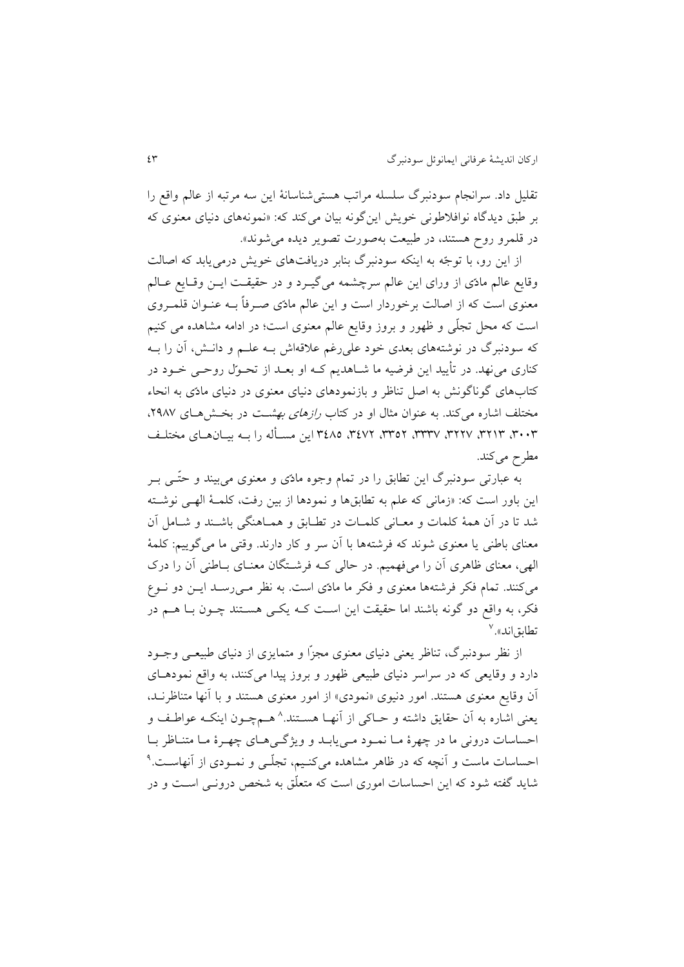تقلیل داد. سرانجام سودنبرگ سلسله مراتب هستیشناسانۀ اين سه مرتبه از عابم واقس را بر طبق ديدگاه نوافالطونی خويش اينگونه بیان میکند که: »نمونههای دنیای معنوی که در قلمرو رو هستند، در طبیعت بهصورت تصوير ديده میشوند«.

از اين رو، با توجّه به اينکه سودنبرگ بنابر دريافتهای خويش درمیيابد که اصابت وقايع عالم مادّی از ورای اين عالم سرچشمه میگیـرد و در حقیقـت ايـن وقـايع عـالم معنوی است که از اصالت برخوردار است و اين عالم مادّی صـرفاً بــه عنـوان قلمـروی است که محل تجلّی و ظهور و بروز وقايس عابم معنوی است؛ در ادامه مشاهده می کنیم که سودنبرگ در نوشتههای بعدی خود علی رغم علاقهاش بــه علــم و دانــش، آن را بــه کناری می $\mathfrak{so}$ . در تأييد اين فرضيه ما شــاهديم کــه او بعــد از تحــوّل روحــي خــود در کتابهای گوناگونش به اصل تناظر و بازنمودهای دنیای معنوی در دنیای مادّی به انحاء مختلف اشاره می کند. به عنوان مثال او در کتاب *رازهای بهش*ت در بخش هـای ۲۹۸۷، ۰۰۳، ۳۲۱۳، ۳۲۲۷، ۳۳۲۷، ۳۴۸۲ ،۳٤۷۲ این مسأله را بـه بیـان۱هـای مختلـف مطرح میکند.

به عبارتی سودنبرگ اين تطابق را در تمام وجوه مادّی و معنوی می بیند و حتّـبی بـر اين باور است که: «زمانی که علم به تطابقها و نمودها از بين رفت، کلمـهٔ الهـی نوشـته شد تا در آن همۀ کلمات و معـانی کلمـات در تطـابق و همـاهنگی باشـند و شـامل آن معنای باطنی يا معنوی شوند که فرشتهها با ان سر و کار دارند. وقتی ما میگويیم: کلمۀ الهی، معنای ظاهری آن را میفهمیم. در حالی کـه فرشـتگان معنـای بـاطنی آن را درک می کنند. تمام فکر فرشتهها معنوی و فکر ما مادّی است. به نظر مـی رسـد ايــن دو نــوع فکر، به واقع دو گونه باشند اما حقیقت این است کـه یکـی هسـتند چـون بـا هــم در تطابقاند».<sup>۷</sup>

از نظر سودنبرگ، تناظر يعنی دنیای معنوی مجزّا و متمايزی از دنیای طبيعـی وجـود دارد و وقايعی که در سراسر دنیای طبیعی ظهور و بروز پیدا میکنند، به واقس نمودهةای ان وقايس معنوی هستند. امور دنیوی »نمودی« از امور معنوی هستند و با انها متناظرنةد، يعنی اشاره به أن حقايق داشته و حــاکی از أنهــا هســتند.^ هــمچــون اينکــه عواطـف و احساسات درونی ما در چهرهٔ مـا نمـود مـی يابـد و ويژگـیهـای چهـرهٔ مـا متنـاظر بـا حساسات ماست و أنچه که در ظاهر مشاهده میکنـیم، تجلّـی و نمــودی از أنهاســت.<sup>۹</sup> شايد گفته شود که اين احساسات اموری است که متعلّق به شخص درونةی اسةت و در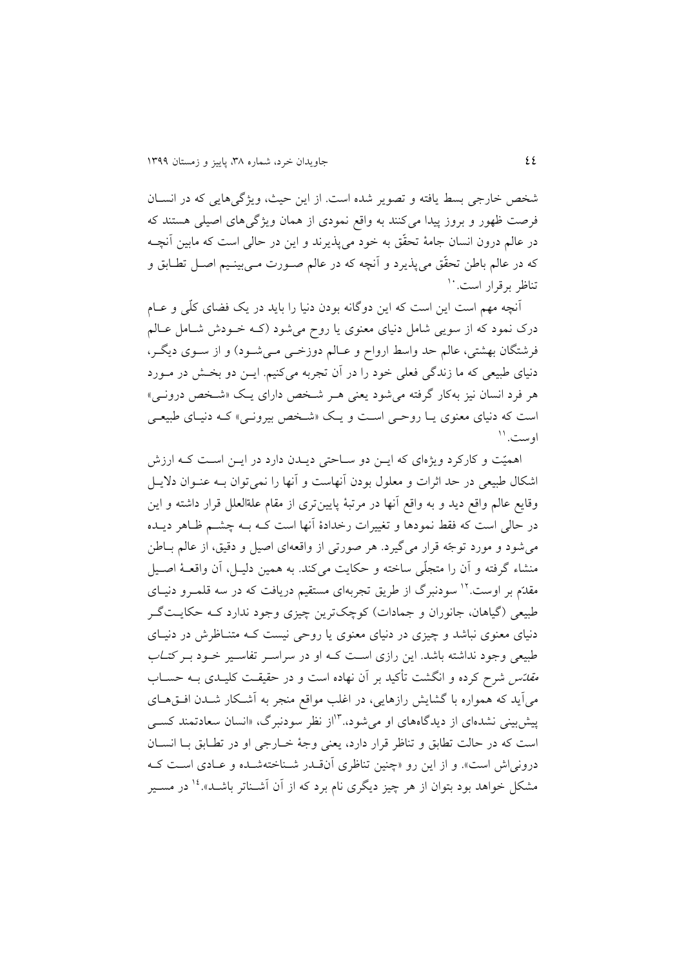شخص خارجی بسط يافته و تصوير شده است. از اين حيث، ويژگیهايی كه در انسـان فرصت ظهور و بروز پیدا میکنند به واقس نمودی از همان ويژگیهای اصیلی هستند که در عابم درون انسان جامۀ تحقّق به خود میپذيرند و اين در حابی است که مابین انچةه که در عالم باطن تحقّق میپذیرد و اَنچه که در عالم صـورت مـیبینـیم اصـل تطـابق و نناظر برقرار است.<sup>۱۰</sup>

آنچه مهم است اين است که اين دوگانه بودن دنيا را بايد در يک فضای کلّی و عـام درک نمود که از سويی شامل دنیای معنوی يا روح می شود (کـه خـودش شـامل عـالم فرشتگان بهشتی، عالم حد واسط ارواح و عـالم دوزخـی مـیشـود) و از سـوی ديگـر، دنیای طبیعی که ما زندگی فعلی خود را در آن تجربه میکنیم. ایــن دو بخــش در مــورد هر فرد انسان نیز بهکار گرفته می شود يعنی هـر شـخص دارای يـک «شـخص درونـی» است که دنیای معنوی يــا روحــى اسـت و يــک «شــخص بيرونــى» کــه دنيــای طبيعــى وست.''

اهمیّت و کارکرد ويژهای که ايــن دو ســاحتی ديــدن دارد در ايــن اسـت کــه ارزش اشکال طبیعی در حد اثرات و معلول بودن أنهاست و أنها را نمیتوان بـه عنـوان دلايـل وقايس عابم واقس ديد و به واقس انها در مرتبۀ پايینتری از مقام علةابعلل قرار داشته و اين در حالی است که فقط نمودها و تغییرات رخدادهٔ آنها است کـه بـه چشــم ظـاهر ديـده می شود و مورد توجّه قرار می گیرد. هر صورتی از واقعهای اصیل و دقیق، از عالم بـاطن منشاء گرفته و آن را متجلّی ساخته و حکايت میکند. به همین دليـل، آن واقعـۀ اصـيل مقدّم بر اوست. <sup>۱۲</sup> سودنبرگ از طريق تجربهای مستقیم دريافت که در سه قلمـرو دنیـای طبیعی (گیاهان، جانوران و جمادات) کوچک ترين چيزی وجود ندارد کـه حکايـت گـر دنیای معنوی نباشد و چیزی در دنیای معنوی یا روحی نیست کـه متنـاظرش در دنیــای طبیعی وجود نداشته باشد. این رازی است کـه او در سراسـر تفاسـیر خـود بـر کت*ـاب مقدّس* شرح کرده و انگشت تأکید بر آن نهاده است و در حقیقـت کلیـدی بــه حســاب می آيد که همواره با گشايش رازهايی، در اغلب مواقع منجر به آشـکار شـدن افــقهــای پیش بینی نشدهای از دیدگاههای او می شود. <sup>۱۳</sup>از نظر سودنبرگ، «انسان سعادتمند کسبی است که در حالت تطابق و تناظر قرار دارد، يعنی وجۀ خبارجی او در تطابق بـا انسـان درونی اش است». و از اين رو «چنين تناظری اّنقـدر شـناختهشـده و عـادی اسـت کـه مشکل خواهد بود بتوان از هر چیز دیگری نام برد که از آن آشــناتر باشــد».<sup>۱۶</sup> در مســیر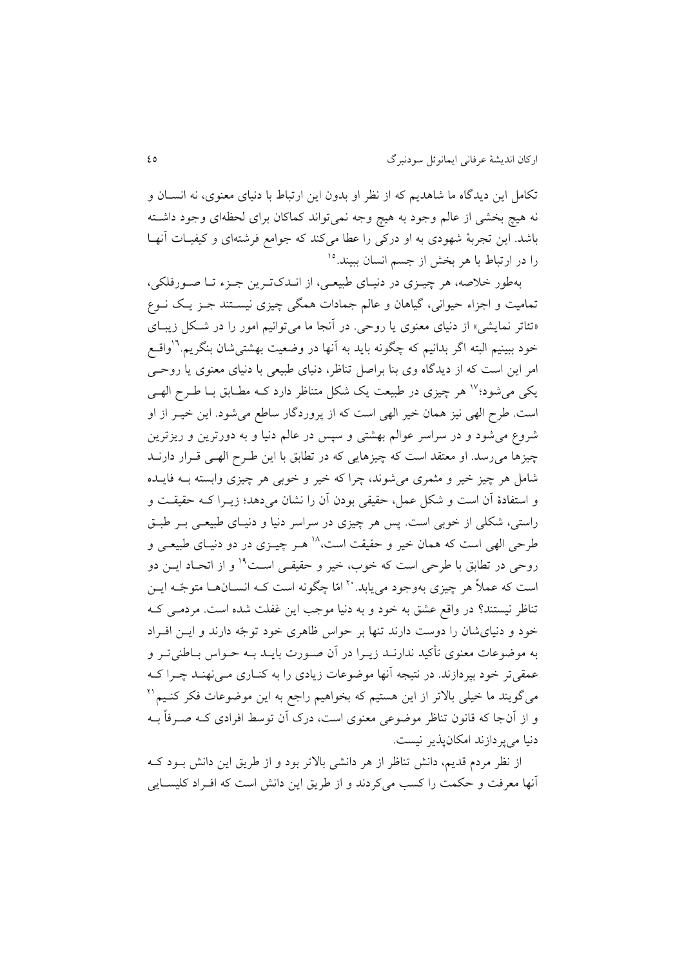تکامل اين ديدگاه ما شاهديم که از نظر او بدون اين ارتباط با دنیای معنوی، نه انسةان و نه هیچ بخشی از عالم وجود به هیچ وجه نمیتواند کماکان برای لحظهای وجود داشـته باشد. این تجربۀ شهودی به او درکی را عطا میکند که جوامع فرشتهای و کیفیـات آنهـا را در ارتباط با هر بخش از جسم انسان ببیند.<sup>۱۵</sup>

بهطور خلاصه، هر چیـزی در دنیـای طبیعـی، از انـدكتـرين جـزء تـا صـورفلكي، تمامیت و اجزاء حیوانی، گیاهان و عالم جمادات همگی چیزی نیسـتند جـز یـک نــوع «تئاتر نمايشی» از دنیای معنوی يا روحی. در آنجا ما می توانیم امور را در شكل زيبـای خود ببینیم البته اگر بدانیم که چگونه باید به آنها در وضعیت بهشتی شان بنگریم.<sup>۱۶</sup>واقــع امر اين است که از ديدگاه وی بنا براصل تناظر، دنیای طبیعی با دنیای معنوی يا روحةی یکی می شود؛<sup>۱۷</sup> هر چیزی در طبیعت یک شکل متناظر دارد کـه مطـابق بـا طـرح الهـی است. طرح الهی نیز همان خیر الهی است که از پروردگار ساطع میشود. این خیــر از او شروع میشود و در سراسر عوابم بهشتی و سپس در عابم دنیا و به دورترين و ريزترين چیزها می رسد. او معتقد است که چیزهایی که در تطابق با این طرح الهبی قـرار دارنـد شامل هر چیز خیر و مثمری میشوند، چرا که خیر و خوبی هر چیزی وابسته بةه فايةده و استفادة ان است و شکل عمل، حقیقی بودن ان را نشان میدهد؛ زيةرا کةه حقیقةت و راستی، شکلی از خوبی است. پس هر چیزی در سراسر دنیا و دنیـای طبیعـی بــر طبــق طرحی الهی است که همان خیر و حقیقت است، ۱۸ هـر چیــزی در دو دنیـای طبیعـی و روحی در تطابق با طرحی است که خوب، خیر و حقیقـی اسـت<sup>۱۹</sup> و از اتحـاد ایــن دو است که عملاً هر چیزی بهوجود مییابد. <sup>۲۰</sup> امّا چگونه است کـه انســانهــا متوجّـه ایــن تناظر نیستند؟ در واقع عشق به خود و به دنیا موجب این غفلت شده است. مردمـی کـه خود و دنیای شان را دوست دارند تنها بر حواس ظاهری خود توجّه دارند و ایــن افـراد به موضوعات معنوی تأکید ندارنــد زيــرا در آن صــورت بايــد بــه حــواس بــاطنی تــر و عمقی تر خود بپردازند. در نتیجه آنها موضوعات زیادی را به کنـاری مـی نهنـد چـرا کـه میگویند ما خیلی بالاتر از این هستیم که بخواهیم راجع به این موضوعات فکر کنــیم `` و از آنجا که قانون تناظر موضوعی معنوی است، درک آن توسط افرادی کـه صـرفاً بـه دنیا میپردازند امکانپذير نیست.

از نظر مردم قديم، دانش تناظر از هر دانشي بالاتر بود و از طريق اين دانش بـود کـه انها معرفت و حکمت را کسب میکردند و از طريق اين دانش است که افـراد کليســايي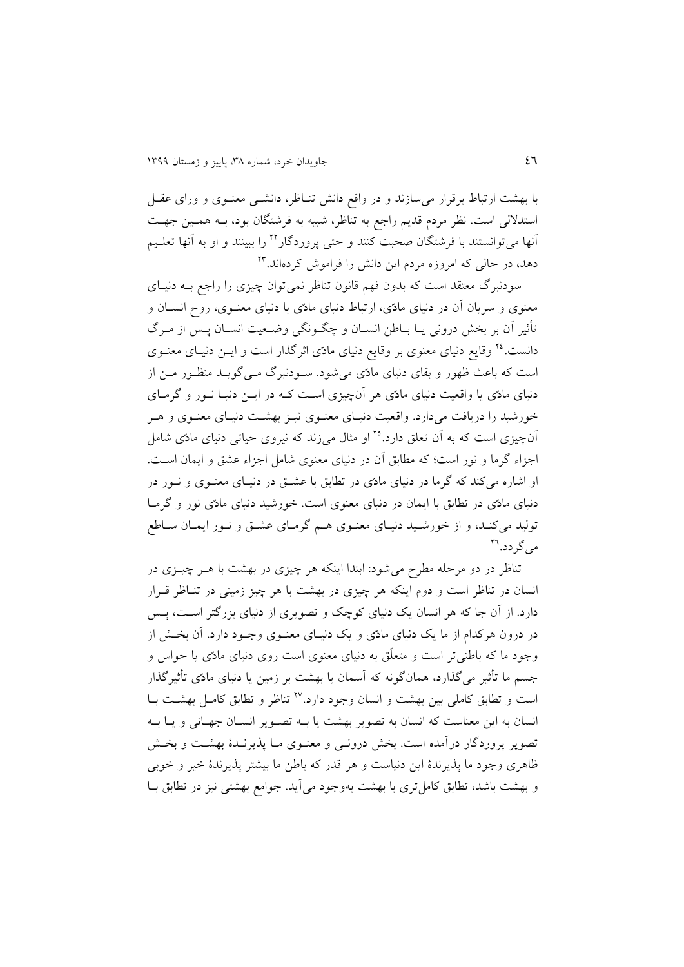با بهشت ارتباط برقرار می سازند و در واقع دانش تنـاظر، دانشــی معنــوی و ورای عقــل استدلالی است. نظر مردم قديم راجع به تناظر، شبيه به فرشتگان بود، بـه همـين جهـت آنها میتوانستند با فرشتگان صحبت کنند و حتی پروردگار<sup>۲۲</sup> را ببینند و او به آنها تعلـیم 16 دهد، در حابی که امروزه مردم اين دانش را فراموش کردهاند.

سودنبرگ معتقد است که بدون فهم قانون تناظر نمی توان چیزی را راجع بــه دنیــای معنوی و سريان آن در دنيای مادّی، ارتباط دنيای مادّی با دنيای معنــوی، روح انســان و تأثیر آن بر بخش درونی يـا بـاطن انســان و چگــونگی وضــعیت انســان پــس از مــرگ دانست.<sup>۲٤</sup> وقایع دنیای معنوی بر وقایع دنیای مادّی اثرگذار است و ایــن دنیــای معنــوی است که باعث ظهور و بقای دنیای مادّی می شود. سـودنبرگ مـی گویــد منظـور مــن از دنیای مادّی یا واقعیت دنیای مادّی هر آنچیزی اسـت کـه در ایــن دنیــا نــور و گرمــای خورشید را دریافت میدارد. واقعیت دنیـای معنـوی نیـز بهشـت دنیـای معنـوی و هـر آن چیزی است که به آن تعلق دارد.<sup>۲۵</sup> او مثال میزند که نیروی حیاتی دنیای مادّی شامل اجزاء گرما و نور است؛ که مطابق اَن در دنیای معنوی شامل اجزاء عشق و ایمان است. او اشاره میکند که گرما در دنیای مادّی در تطابق با عشـق در دنیـای معنـوی و نـور در دنیای مادّی در تطابق با ايمان در دنیای معنوی است. خورشید دنیای مادّی نور و گرمةا تولید میکند، و از خورشید دنیای معنـوی هـم گرمـای عشـق و نـور ایمـان سـاطع می گردد.<sup>۲٦</sup>

تناظر در دو مرحله مطرح میشود: ابتدا اینکه هر چیزی در بهشت با هــر چیــزی در انسان در تناظر است و دوم اینکه هر چیزی در بهشت با هر چیز زمینی در تنـاظر قـرار دارد. از آن جا که هر انسان يک دنيای کوچک و تصويری از دنيای بزرگتر اسـت، پــس در درون هرکدام از ما يک دنيای مادّی و يک دنيـای معنــوی وجــود دارد. آن بخــش از وجود ما که باطنیتر است و متعلّق به دنیای معنوی است روی دنیای مادّی يا حواس و جسم ما تأثیر می گذارد، همانگونه که آسمان یا بهشت بر زمین یا دنیای مادّی تأثیرگذار است و تطابق کاملی بین بهشت و انسان وجود دارد.<sup>۲۷</sup> تناظر و تطابق کامـل بهشــت بــا انسان به اين معناست که انسان به تصوير بهشت يا بـه تصـوير انسـان جهـانی و يـا بـه تصوير پروردگار درآمده است. بخش درونـی و معنـوی مـا پذيرنـدۀ بهشـت و بخـش ظاهری وجود ما پذيرندة اين دنیاست و هر قدر که باطن ما بیشتر پذيرندة خیر و خوبی و بهشت باشد، تطابق کامل تری با بهشت بهوجود می[ید. جوامع بهشتی نیز در تطابق بـا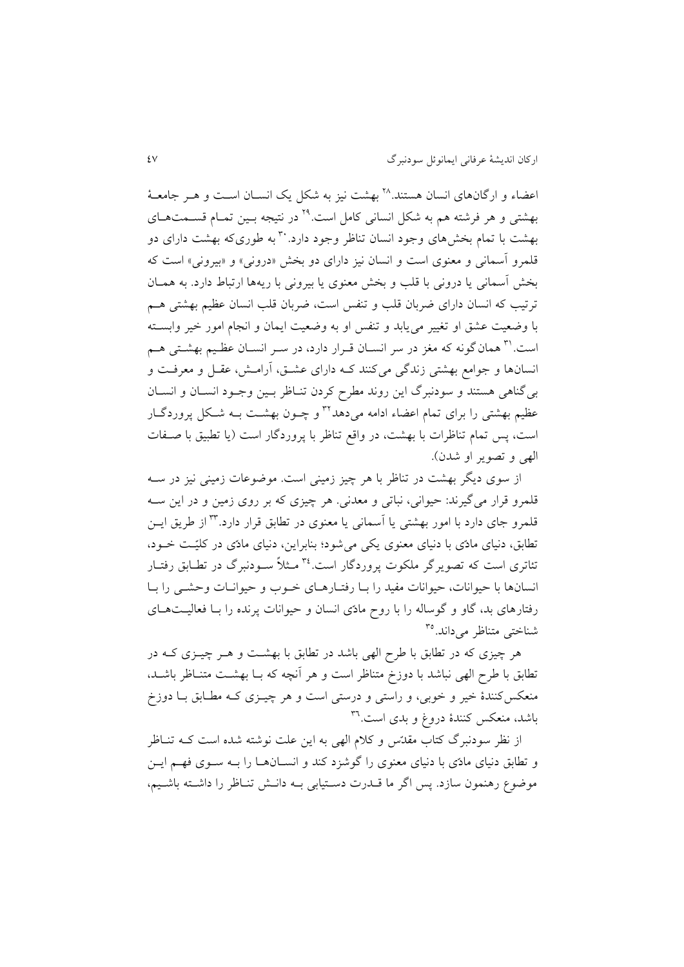اعضاء و ارگانهای انسان هستند. `` بهشت نیز به شکل یک انسـان اسـت و هـر جامعـهٔ بهشتی و هر فرشته هم به شکل انسانی کامل است.<sup>۲۹</sup> در نتیجه بـین تمـام قســمتهـای بهشت با تمام بخشهای وجود انسان تناظر وجود دارد. به م طوری که بهشت دارای دو قلمرو اسمانی و معنوی است و انسان نیز دارای دو بخش »درونی« و »بیرونی« است که بخش اسمانی يا درونی با قلب و بخش معنوی يا بيرونی با ريهها ارتباط دارد. به همـان ترتیب که انسان دارای ضربان قلب و تنفس است، ضربان قلب انسان عظیم بهشتی هـم با وضعیت عشق او تغییر می یابد و تنفس او به وضعیت ایمان و انجام امور خیر وابسته است.<sup>۳۱</sup> همان گونه که مغز در سر انسـان قـرار دارد، در سـر انسـان عظـیم بهشـتی هـم انسانها و جوامس بهشتی زندگی میکنند کةه دارای عشةق، ارامةش، عقةل و معرفةت و بی گناهی هستند و سودنبرگ اين روند مطرح کردن تنـاظر بـين وجـود انسـان و انسـان عظیم بهشتی را برای تمام اعضاء ادامه میدهد<sup>۳۲</sup> و چـون بهشـت بـه شـکل پروردگـار است، پس تمام تناظرات با بهشت، در واقع تناظر با پروردگار است (يا تطبيق با صـفات الهی و تصوير او شدن).

از سوی ديگر بهشت در تناظر با هر چيز زمينی است. موضوعات زمينی نيز در ســه قلمرو قرار میگیرند: حیوانی، نباتی و معدنی. هر چیزی که بر روی زمین و در اين سةه قلمرو جای دارد با امور بهشتی يا آسمانی يا معنوی در تطابق قرار دارد.<sup>۳۳</sup> از طريق ايــن تطابق، دنیای مادّی با دنیای معنوی یکی می شود؛ بنابراین، دنیای مادّی در کلیّت خـود، تئاتری است که تصویر گر ملکوت پروردگار است.<sup>۳٤</sup> مـثلاً ســودنبرگ در تطــابق رفتــار انسانها با حیوانات، حیوانات مفید را بـا رفتـارهـای خـوب و حیوانــات وحشــی را بــا رفتارهای بد، گاو و گوساله را با روح مادّی انسان و حیوانات پرنده را بـا فعالیـتهـای شناختی متناظر میداند.<sup>۳۵</sup>

هر چیزی که در تطابق با طرح الهی باشد در تطابق با بهشـت و هــر چیــزی کــه در تطابق با طرح الهی نباشد با دوزخ متناظر است و هر آنچه که بــا بهشــت متنــاظر باشــد، منعکسکنندهٔ خیر و خوبی، و راستی و درستی است و هر چیــزی کــه مطــابق بــا دوزخ باشد، منعکس کنندهٔ دروغ و بدی است.<sup>۳٦</sup>

از نظر سودنبرگ کتاب مقدّس و کلام الهی به اين علت نوشته شده است کـه تنــاظر و تطابق دنیای مادّی با دنیای معنوی را گوشزد کند و انسـانهـا را بـه سـوی فهـم ايـن موضوع رهنمون سازد. پس اگر ما قــدرت دسـتیابی بــه دانــش تنــاظر را داشــته باشــیم،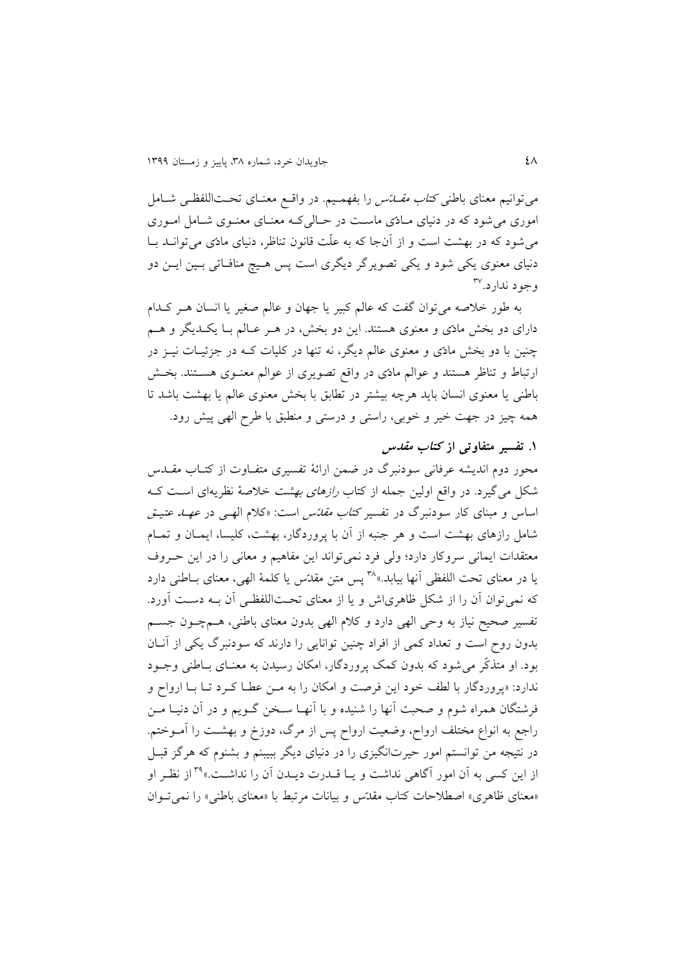میتوانیم معنای باطنی *کتاب مقــلتس* را بفهمـیم. در واقــع معنــای تحــتاللفظــی شــامل اموری می شود که در دنیای مـادّی ماسـت در حـالی کـه معنـای معنـوی شـامل امـوری می شود که در بهشت است و از آنجا که به علّت قانون تناظر، دنیای مادّی میتوانــد بــا دنیای معنوی يکی شود و يکی تصويرگر ديگری است پس هـيچ منافـاتی بـين ايــن دو وجود ندارد.<sup>۳۷</sup>

به طور خلاصه میتوان گفت که عالم کبیر یا جهان و عالم صغیر یا انسان هـر کـدام دارای دو بخش مادّی و معنوی هستند. اين دو بخش، در هـر عـالم بـا يکـديگر و هـم چنین با دو بخش مادّی و معنوی عالم دیگر، نه تنها در کلیات کـه در جزئیـات نیــز در ارتباط و تناظر هستند و عوالم مادّی در واقع تصویری از عوالم معنـوی هسـتند. بخـش باطنی يا معنوی انسان بايد هرچه بیشتر در تطابق با بخش معنوی عابم يا بهشت باشد تا همه چیز در جهت خیر و خوبی، راستی و درستی و منطبق با طر ابهی پیش رود.

#### **.9 تفسیر متفاوتی از کتاب مقدس**

محور دوم اندیشه عرفانی سودنبرگ در ضمن ارائۀ تفسیری متفـاوت از کتـاب مقــدس شکل می گیرد. در واقع اولین جمله از کتاب *رازهای بهشت* خلاصۀ نظریهای است ک اساس و مبنای کار سودنبرگ در تفسیر *کتاب مقدّس* است: «کلام اله<sub>حی</sub> در *عهــــــ عتیــق* شامل رازهای بهشت است و هر جنبه از آن با پروردگار، بهشت، کلیسا، ایمـان و تمـام معتقدات ايمانی سروکار دارد؛ ولی فرد نمی تواند اين مفاهيم و معانی را در اين حـروف پا در معنای تحت اللفظی آنها بیابد.» ``` يس متن مقدّس يا کلمۀ الهی، معنای بـاطنی دارد که نمی توان آن را از شکل ظاهریاش و یا از معنای تحتاللفظی آن بـه دسـت آورد. تفسیر صحیح نیاز به وحی الهی دارد و کلام الهی بدون معنای باطنی، هـمچـون جسـم بدون روح است و تعداد کمی از افراد چنین توانایی را دارند که سودنبرگ یکی از آنان بود. او متذکّر می شود که بدون کمک پروردگار، امکان رسیدن به معنـای بـاطنی وجـود ندارد: «پروردگار با لطف خود اين فرصت و امکان را به مـن عطـا کـرد تــا بــا ارواح و فرشتگان همراه شوم و صحبت آنها را شنیده و با انهـا سـخن گـویم و در اَن دنیـا مـن راجع به انواع مختلف ارواح، وضعیت ارواح پس از مرگ، دوزخ و بهشـت را آمــوختم. در نتیجه من توانستم امور حیرتانگیزی را در دنیای دیگر ببیبنم و بشنوم که هرگز قبـل از اين کسی به آن امور آگاهی نداشت و يـا قــدرت ديــدن آن را نداشــت.» <sup>۳۹</sup> از نظـر او «معنای ظاهری» اصطلاحات کتاب مقدّس و بیانات مرتبط با «معنای باطنی» را نمی تبوان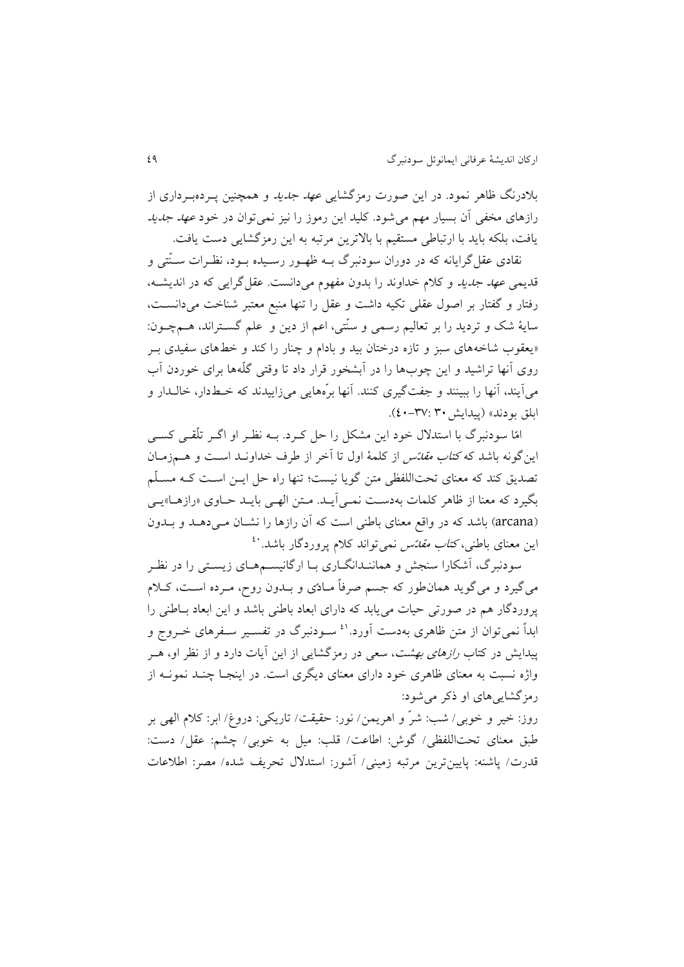بلادرنگ ظاهر نمود. در اين صورت رمزگشاي*ی عهد جديد* و همچنين پـردهبـرداری از رازهای مخفی آن بسیار مهم میشود. کلید این رموز را نیز نمیتوان در خود *عهد جدید* يافت، بلکه بايد با ارتباطی مستقیم با بالترين مرتبه به اين رمزگشايی دست يافت.

نقادی عقل گرايانه که در دوران سودنبرگ بــه ظهــور رســيده بــود، نظــرات ســنّتی و قديمی *عهد جديد و کلام خداوند را بدون مفهوم می دانست. عقل گرايی که در انديشـه*، رفتار و گفتار بر اصول عقلی تکیه داشت و عقل را تنها منبع معتبر شناخت میدانسـت، سايۀ شک و ترديد را بر تعاليم رسمي و سنّتي، اعم از دين و علم گســتراند، هــمچــون: «يعقوب شاخههای سبز و تازه درختان بید و بادام و چنار را کند و خطهای سفیدی بـر روی آنها تراشید و این چوبها را در ابشخور قرار داد تا وقتی گلّهها برای خوردن اَب میآیند، آنها را ببینند و جفتگیری کنند. آنها برّههایی میزاییدند که خـطدار، خالــدار و ابلق بودند» (پيدايش ۳۰: ۴۷-٤٠).

امّا سودنبرگ با استدلال خود اين مشکل را حل کـرد. بــه نظـر او اگــر تلّقــی کســی اين گونه باشد که *کتاب مقدّس* از کلمۀ اول تا آخر از طرف خداونـد اسـت و هــمزمـان تصديق کند که معنای تحتاللفظی متن گويا نيست؛ تنها راه حل ايــن اسـت کــه مسـلّم بگيرد که معنا از ظاهر کلمات بهدست نمي آيـد. مـتن الهـي بايـد حـاوی «رازهـا»يـي (arcana) باشد که در واقع معنای باطنی است که آن رازها را نشـان مـی دهـد و بـدون ین معنای باطنی، *کتاب مقدّس* نمیتواند کلام پروردگار باشد. <sup>٤٠</sup>

سودنبرگ، آشکارا سنجش و هماننـدانگــاری بــا ارگانیســمهــای زيسـتی را در نظـر میگیرد و میگوید همانطور که جسم صرفاً مـادّی و بـدون روح، مـرده اسـت، کـلام پروردگار هم در صورتی حیات می یابد که دارای ابعاد باطنی باشد و این ابعاد بـاطنی را ابداً نمیتوان از متن ظاهری بهدست آورد.<sup>۶۱</sup> سـودنبرگ در تفسـیر سـفرهای خــروج و پیدايش در کتاب *رازهای بهشت*، سعی در رمزگشايی از اين آيات دارد و از نظر او، هــر واژه نسبت به معنای ظاهری خود دارای معنای دیگری است. در اینجـا چنـد نمونــه از رمزگشايیهای او ذکر میشود:

روز: خیر و خوبی/ شب: شرّ و اهريمن/ نور: حقیقت/ تاريکی: دروغ/ ابر: کالم ابهی بر طبق معنای تحتابلفظی/ گوش: اطاعت/ قلب: میل به خوبی/ چشم: عقل/ دست: قدرت/ پاشنه: پايينترين مرتبه زميني/ آشور: استدلال تحريف شده/ مصر: اطلاعات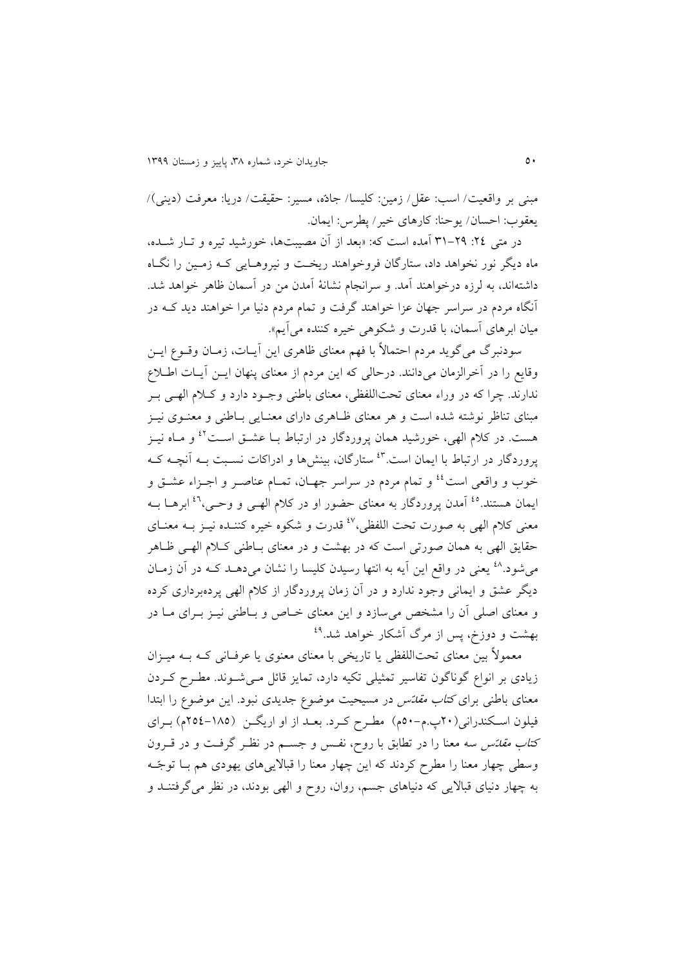مبنی بر واقعیت/ اسب: عقل/ زمین: کلیسا/ جادّه، مسیر: حقیقت/ دريا: معرفت )دينی(/ يعقوب: احسان/ يوحنا: کارهای خیر/ پطرس: ايمان.

در متی ٢٤: ٢٩-٣١ آمده است که: «بعد از آن مصیبتها، خورشید تیره و تـار شـده، ماه ديگر نور نخواهد داد، ستارگان فروخواهند ريخت و نيروهـايی کـه زمـين را نگـاه داشتهاند، به برزه درخواهند امد. و سرانجام نشانۀ امدن من در اسمان ظاهر خواهد شد. انراه مردم در سراسر جهان عزا خواهند گرفت و تمام مردم دنیا مرا خواهند ديد کةه در میان ابرهای آسمان، با قدرت و شکوهی خیره کننده میآیم».

سودنبرگ میگويد مردم احتمالاً با فهم معنای ظاهری اين آيــات، زمــان وقــوع ايــن وقايع را در آخرالزمان میدانند. درحالی که اين مردم از معنای پنهان ايــن آيــات اطــلاع ندارند. چرا که در وراء معنای تحتاللفظی، معنای باطنی وجـود دارد و کـلام الهـی بـر مبنای تناظر نوشته شده است و هر معنای ظـاهری دارای معنـایی بـاطنی و معنـوی نیـز هست. در کلام الهی، خورشید همان پروردگار در ارتباط بــا عشــق اســت<sup>٤٢</sup> و مــاه نیــز یروردگار در ارتباط با ایمان است.<sup>۶۳</sup> ستارگان، بینشها و ادراکات نسـبت بــه آنچــه کــه خوب و واقعی است<sup>؛؛</sup> و تمام مردم در سراسر جهـان، تمــام عناصـر و اجــزاء عشــق و یمان هستند.<sup>16</sup> آمدن پروردگار به معنای حضور او در کلام الهـی و وحـی،<sup>۶٦</sup> ابرهــا بــه معنی کلام الهی به صورت تحت اللفظی،<sup>٤٧</sup> قدرت و شکوه خیره کننـده نیــز بــه معنــای حقایق الهی به همان صورتی است که در بهشت و در معنای بـاطنی کـلام الهـی ظـاهر میشود.<sup>۱۸</sup> یعنی در واقع این آیه به انتها رسیدن کلیسا را نشان میدهــد کــه در آن زمــان ديگر عشق و ايمانی وجود ندارد و در آن زمان پروردگار از کلام الهی پردهبرداری کرده و معنای اصلی آن را مشخص می سازد و این معنای خـاص و بـاطنی نیـز بـرای مـا در بهشت و دوزخ، پس از مرگ آشکار خواهد شد.<sup>۴۹</sup>

معمولاً بین معنای تحتاللفظی یا تاریخی با معنای معنوی یا عرفـانی کـه بــه میــزان زيادی بر انواع گوناگون تفاسير تمثيلی تکيه دارد، تمايز قائل مىی شوند. مطـرح کـردن معنای باطنی برای *کتاب مقدّس* در مسیحیت موضوع جدیدی نبود. این موضوع را ابتدا فیلون اسکندرانی(۲۰پ.م-۵۰م) مطـرح کـرد. بعــد از او اریگــن (۱۸۵-۲۵٤م) بــرای کت*اب مقدّس* سه معنا را در تطابق با روح، نفـس و جســم در نظـر گرفـت و در قــرون وسطی چهار معنا را مطرح کردند که این چهار معنا را قبالاییهای یهودی هم بــا توجّـه به چهار دنیای قباليی که دنیاهای جسم، روان، رو و ابهی بودند، در نظر میگرفتنةد و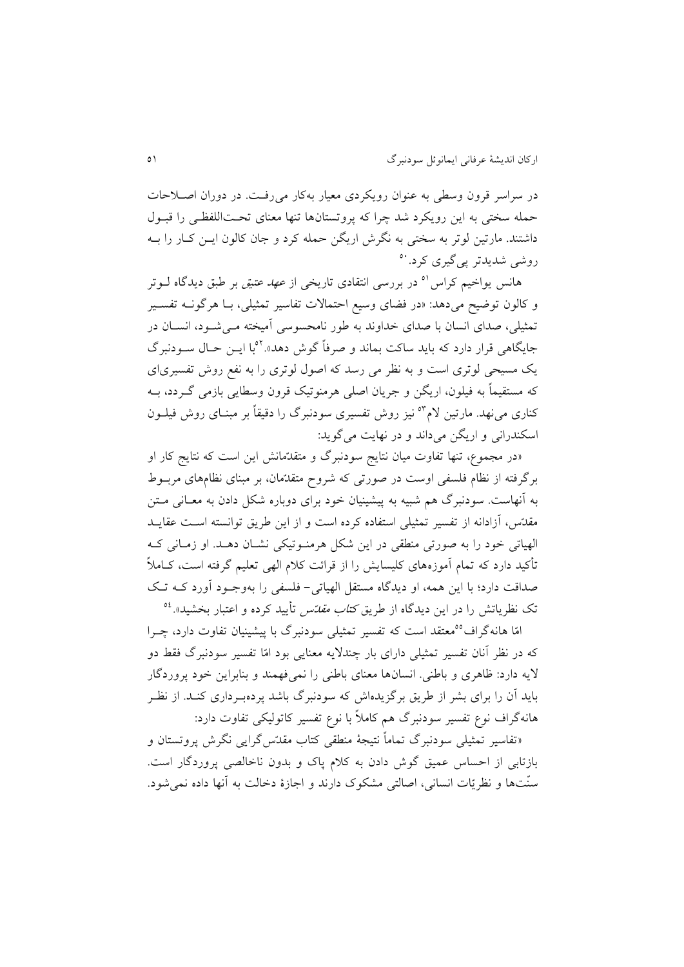در سراسر قرون وسطی به عنوان رويکردی معیار بهکار میرفةت. در دوران اصةالحات حمله سختی به این رویکرد شد چرا که پروتستانها تنها معنای تحتاللفظی را قبـول داشتند. مارتین لوتر به سختی به نگرش اریگن حمله کرد و جان کالون ایــن کــار را بــه روشی شديدتر پیگیری کرد. ``

هانس يواخیم کراس<sup>۵</sup> در بررسی انتقادی تاريخی از *عهد عتیق* بر طبق ديدگاه لــوتر و کالون توضیح میدهد: «در فضای وسیع احتمالات تفاسیر تمثیلی، بـا هرگونــه تفســیر تمثیلی، صدای انسان با صدای خداوند به طور نامحسوسی آمیخته مـی شـود، انســان در جايگاهي قرار دارد که بايد ساکت بماند و صرفاً گوش دهد».<sup>۵۲</sup>با ايـن حـال سـودنبرگ ي مسیحی بوتری است و به نظر می رسد که اصول بوتری را به نفس روش تفسیریای که مستقیماً به فیلون، اریگن و جریان اصلی هرمنوتیک قرون وسطایی بازمی گـردد، بــه کناری می نهد. مارتین لام<sup>۵۳</sup> نیز روش تفسیری سودنبرگ را دقیقاً بر مبنـای روش فیلــون اسکندرانی و اريگن می داند و در نهايت می گويد:

»در مجموع، تنها تفاوت میان نتايج سودنبرگ و متقدّمانش اين است که نتايج کار او برگرفته از نظام فلسفی اوست در صورتی که شروح متقدّمان، بر مبنای نظامهای مربـوط به آنهاست. سودنبرگ هم شبیه به پیشینیان خود برای دوباره شکل دادن به معــانی مــتن مقدّس، آزادانه از تفسیر تمثیلی استفاده کرده است و از اين طريق توانسته است عقايـد الهیاتی خود را به صورتی منطقی در این شکل هرمنـوتیکی نشـان دهـد. او زمـانی کـه تأکید دارد که تمام آموزههای کلیسایش را از قرائت کلام الهی تعلیم گرفته است، کــاملاً صداقت دارد؛ با اين همه، او ديدگاه مستقل الهياتي- فلسفي را بهوجـود آورد کـه تـک تک نظریاتش را در این دیدگاه از طریق *کتاب مقدّس* تأیید کرده و اعتبار بخشید».<sup>61</sup>

امّا هانهگراف°°معتقد است که تفسیر تمثیلی سودنبرگ با پیشینیان تفاوت دارد، چـرا که در نظر انان تفسیر تمثیلی دارای بار چندليه معنايی بود امّا تفسیر سودنبرگ فقط دو ليه دارد: ظاهری و باطنی. انسانها معنای باطنی را نمیفهمند و بنابراين خود پروردگار بايد آن را برای بشر از طريق برگزيدهاش که سودنبرگ باشد پردهبـرداری کنـد. از نظـر هانهگراف نوع تفسیر سودنبرگ هم کاملاً با نوع تفسیر کاتولیکی تفاوت دارد:

«تفاسیر تمثیلی سودنبرگ تماماً نتیجۀ منطقی کتاب مقدّسگرایی نگرش پروتستان و بازتابی از احساس عمیق گوش دادن به کالم پاك و بدون ناخابصی پروردگار است. سنّتها و نظريّات انسانی، اصابتی مشکوك دارند و اجازة دخابت به انها داده نمیشود.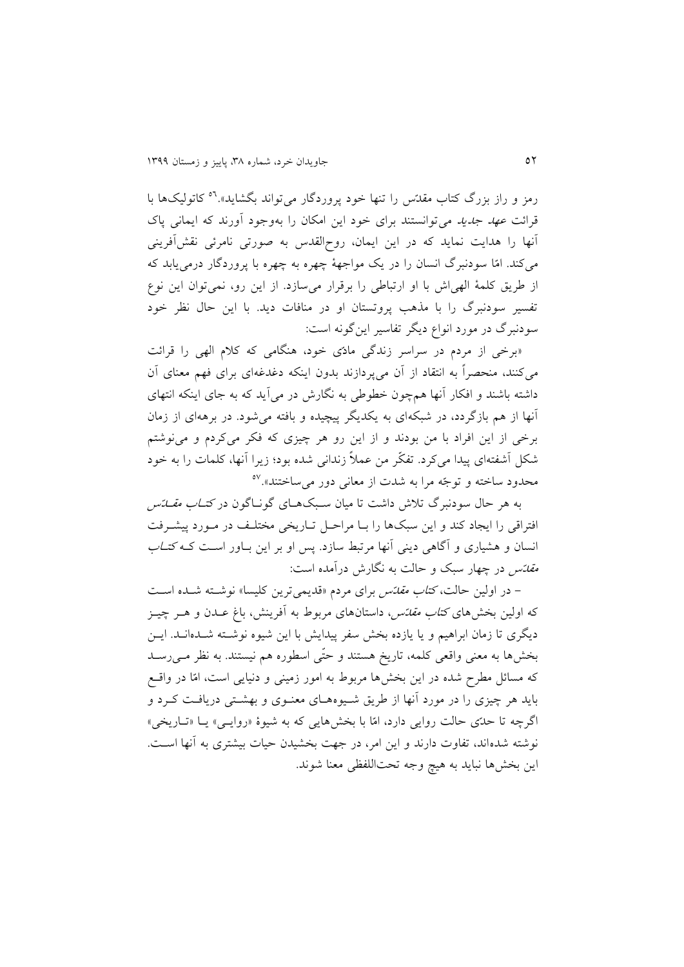رمز و راز بزرگ کتاب مقدّس را تنها خود پروردگار میتواند بگشاید».<sup>۵۹</sup> کاتولیکها با قرائت *عهد جديد می ت*وانستند برای خود اين امکان را بهوجود آورند که ايمانی پاک انها را هدايت نمايد که در اين ايمان، رو ابقدس به صورتی نامرئی نقشافرينی میکند. امّا سودنبرگ انسان را در يک مواجهۀ چهره به چهره با پروردگار درمی يابد که از طريق کلمۀ ابهیاش با او ارتباطی را برقرار میسازد. از اين رو، نمیتوان اين نوع تفسیر سودنبرگ را با مذهب پروتستان او در منافات ديد. با اين حال نظر خود سودنبرگ در مورد انواع ديرر تفاسیر اينگونه است:

»برخی از مردم در سراسر زندگی مادّی خود، هنرامی که کالم ابهی را قرائت میکنند، منحصرا به انتقاد از ان میپردازند بدون اينکه دغدغهای برای فهم معنای ان داشته باشند و افکار آنها همچون خطوطی به نگارش در می آید که به جای اینکه انتهای انها از هم بازگردد، در شبکهای به يکديرر پیچیده و بافته میشود. در برههای از زمان برخی از اين افراد با من بودند و از اين رو هر چیزی که فکر میکردم و مینوشتم شکل اشفتهای پیدا میکرد. تفکّر من عمال زندانی شده بود؛ زيرا انها، کلمات را به خود محدود ساخته و توجّه مرا به شدت از معانی دور میٍساختند».<sup>۵۷</sup>

به هر حال سودنبرگ تلاش داشت تا میان سـبکهـای گونـاگون در *کتـاب مقــاتس* افتراقی را ايجاد کند و اين سبکها را بـا مراحـل تـاريخی مختلـف در مـورد پیشـرفت انسان و هشیاری و آگاهی دینی آنها مرتبط سازد. پس او بر این بـاور اسـت کـه *کتـاب مقدّس* در چهار سبک و حالت به نگارش درآمده است:

- در اولین حالت، *کتاب مقاتس* برای مردم «قدیمیترین کلیسا» نوشـته شـده اسـت که اولین بخشهای *کتاب مقاتس،* داستانهای مربوط به آفرینش، باغ عــدن و هــر چیــز ديگری تا زمان ابراهیم و يا يازده بخش سفر پيدايش با اين شيوه نوشـته شـدهانـد. ايــن بخشها به معنی واقعی کلمه، تاریخ هستند و حتّی اسطوره هم نیستند. به نظر مـیرسـد که مسائل مطرح شده در اين بخشها مربوط به امور زمينی و دنيايی است، امّا در واقسع بايد هر چيزی را در مورد آنها از طريق شـيوههـای معنـوی و بهشـتی دريافـت کـرد و اگرچه تا حدّی حالت روايی دارد، امّا با بخشهايی که به شیوهٔ «روايـبي» يـا «تـاريخي» نوشته شدهاند، تفاوت دارند و این امر، در جهت بخشیدن حیات بیشتری به آنها است. اين بخشها نبايد به هيچ وجه تحتاللفظی معنا شوند.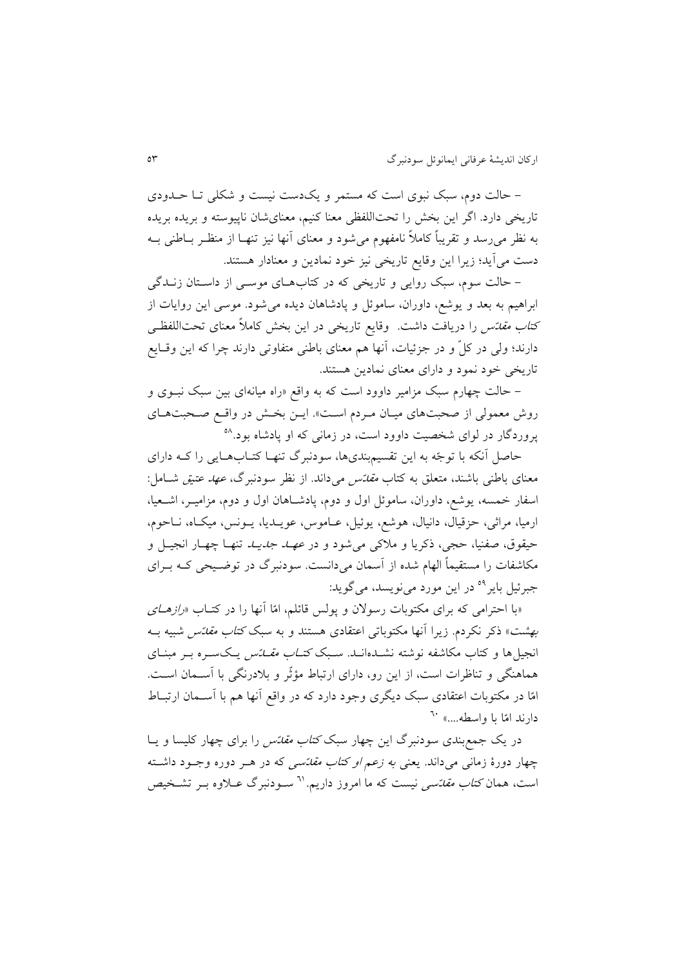- حالت دوم، سبک نبوی است که مستمر و يکدست نيست و شکلی تـا حـدودی تاريخی دارد. اگر اين بخش را تحتابلفظی معنا کنیم، معنایشان ناپیوسته و بريده بريده به نظر میرسد و تقریباً کاملاً نامفهوم میشود و معنای آنها نیز تنهـا از منظـر بــاطنی بــه دست میايد؛ زيرا اين وقايس تاريخی نیز خود نمادين و معنادار هستند.

- حالت سوم، سبک روايی و تاريخی که در کتابهای موسى از داستان زنـدگی ابراهیم به بعد و يوشس، داوران، ساموئل و پادشاهان ديده میشود. موسی اين روايات از کت*اب مقدّس* را دريافت داشت. وقايع تاريخی در اين بخش کاملاً معنای تحتاللفظـی دارند؛ ولی در کلّ و در جزئیات، آنها هم معنای باطنی متفاوتی دارند چرا که این وقـایع تاريخی خود نمود و دارای معنای نمادين هستند.

– حالت چهارم سبک مزامیر داوود است که به واقع «راه میانهای بین سبک نبــوی و روش معمولی از صحبتهای میـان مـردم اسـت». ايـن بخـش در واقـع صـحبتهـای پروردگار در لوای شخصیت داوود است، در زمانی که او پادشاه بود.<sup>۵۸</sup>

حاصل آنکه با توجّه به اين تقسیمبندیها، سودنبرگ تنهـا کتـابهـايی را کـه دارای معنای باطنی باشند، متعلق به کتاب *مقاتس می داند. از نظر سودنبرگ، عهد عتیق* شـامل: اسفار خمسه، يوشع، داوران، ساموئل اول و دوم، پادشـاهان اول و دوم، مزامیـر، اشـعیا، ارمیا، مراثی، حزقیال، دانیال، هوشع، يوئيل، عـاموس، عويــديا، يــونس، میکـاه، نــاحوم، حیقوق، صفنیا، حجی، ذکریا و ملاکی میشود و در *عهـد جدیـد* تنهـا چهـار انجیـل و مکاشفات را مستقیماً الهام شده از آسمان میدانست. سودنبرگ در توضیحی کـه بـرای جبرئیل بایر<sup>٥٩</sup> در این مورد مینویسد، میگوید:

«با احترامی که برای مکتوبات رسولان و پولس قائلم، امّا آنها را در کتـاب «*رازهـای* بهشت» ذکر نکردم. زیرا آنها مکتوباتی اعتقادی هستند و به سبک *کتاب مقدّس* شبیه بــه انجیل ها و کتاب مکاشفه نوشته نشـدهانـد. سـبک *کتـاب مقــلـتس* يـکـسـره بـر مبنـای هماهنگی و تناظرات است، از اين رو، دارای ارتباط مؤثّر و بلادرنگی با آســمان اســت. امّا در مکتوبات اعتقادی سبک ديگری وجود دارد که در واقع انها هم با اسـمان ارتبـاط دارند امّا با واسطه....» <sup>٦٠</sup>

در يک جمع بندی سودنبرگ اين چهار سبک *کتاب مقدّس* را برای چهار کليسا و يــا چهار دورهٔ زمانی میداند. یعنی *به زعم او کتاب مقلّسی* که در هـر دوره وجـود داشـته است، همان *کتاب مقائسی* نیست که ما امروز داریم.<sup>٦١</sup> سـودنبرگ عــلاوه بــر تشــخیص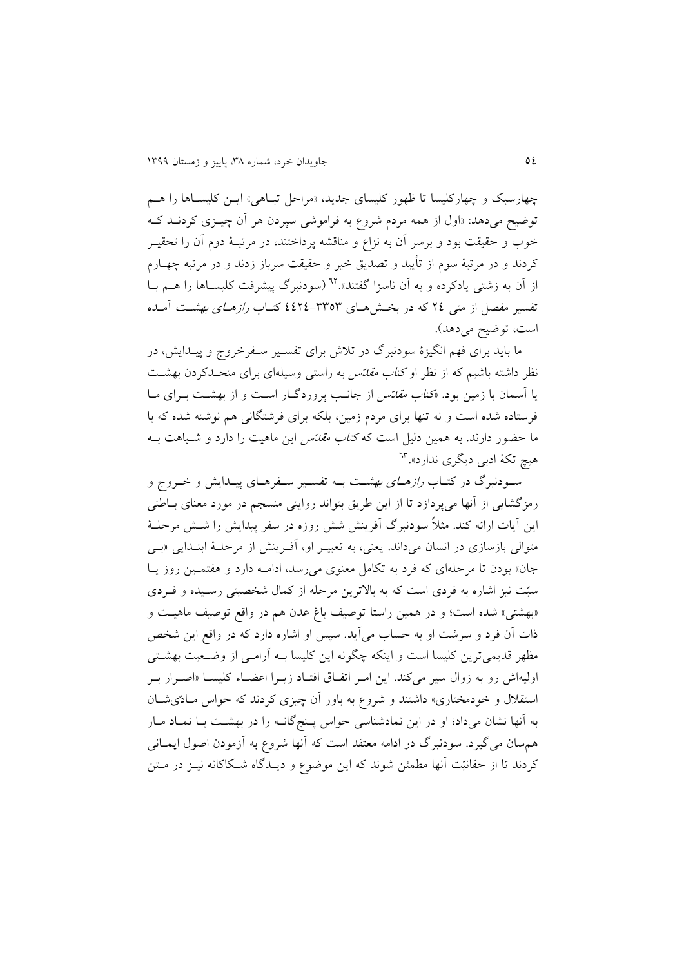چهارسبک و چهارکلیسا تا ظهور کلیسای جدید، «مراحل تباهی» ایـن کلیسـاها را هـم توضیح میدهد: «اول از همه مردم شروع به فراموشی سپردن هر آن چیــزی کردنــد کــه خوب و حقیقت بود و برسر آن به نزاع و مناقشه پرداختند، در مرتبـهٔ دوم آن را تحقیــر کردند و در مرتبۀ سوم از تأيید و تصديق خیر و حقیقت سرباز زدند و در مرتبه چهةارم از آن به زشتی یادکرده و به آن ناسزا گفتند».<sup>۲۲</sup> (سودنبرگ پیشرفت کلیســاها را هــم بــا تفسیر مفصل از متی ٢٤ که در بخـش هـای ٣٣٥٣-٤٤٢٤ کتـاب *رازهـای بهشـت* آمـده است، توضیح می دهد).

ما بايد برای فهم انگيزهٔ سودنبرگ در تلاش برای تفسـير سـفرخروج و پيــدايش، در نظر داشته باشیم که از نظر او *کتاب مقاتس* به راستی وسیلهای برای متحـدکردن بهشـت يا آسمان با زمين بود. «*کتاب مقدّس* از جانب پروردگـار اسـت و از بهشـت بـرای مـا فرستاده شده است و نه تنها برای مردم زمین، بلکه برای فرشترانی هم نوشته شده که با ما حضور دارند. به همین دلیل است که *کتاب مقدّس* این ماهیت را دارد و شـباهت بــه هیچ تکۀ ادبی دیگری ندارد».<sup>٦٣</sup>

سـودنبرگ در کتـاب *رازهـای بهشـت* بــه تفسـير سـفرهـای پيــدايش و خــروج و رمزگشايی از آنها میپردازد تا از اين طريق بتواند روايتی منسجم در مورد معنای بـاطنی اين آيات ارائه کند. مثلاً سودنبرگ اَفرينش شش روزه در سفر پيدايش را شــش مرحلــۀ متوالی بازسازی در انسان میداند. يعنی، به تعبيـر او، آفـرينش از مرحلـهٔ ابتـدايی «بـی جان» بودن تا مرحلهای که فرد به تکامل معنوی می رسد، ادامـه دارد و هفتمـین روز يـا سبّت نیز اشاره به فردی است که به بالاترین مرحله از کمال شخصیتی رسـیده و فـردی «بهشتی» شده است؛ و در همین راستا توصیف باغ عدن هم در واقع توصیف ماهیت و ذات آن فرد و سرشت او به حساب می آید. سپس او اشاره دارد که در واقع این شخص مظهر قديمیترين کليسا است و اينکه چگونه اين کليسا بــه آرامــی از وضــعیت بهشــتی اولیهاش رو به زوال سیر میکند. این امـر اتفـاق افتـاد زيـرا اعضـاء کلیســا «اصــرار بـر استقلال و خودمختاری» داشتند و شروع به باور آن چیزی کردند که حواس مـادّیشـان به آنها نشان میداد؛ او در اين نمادشناسی حواس پـنج گانـه را در بهشـت بـا نمـاد مـار همهسان میگیرد. سودنبرگ در ادامه معتقد است که آنها شروع به آزمودن اصول ایمــانی کردند تا از حقانیّت آنها مطمئن شوند که این موضوع و دیــدگاه شــکاکانه نیــز در مــتن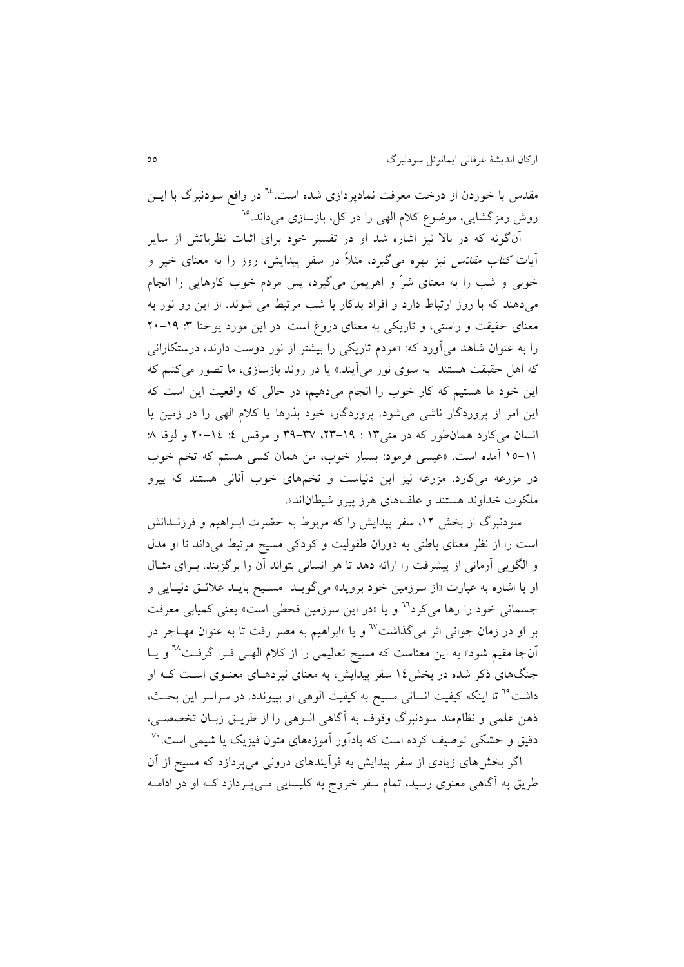مقدس با خوردن از درخت معرفت نمادیردازی شده است.<sup>14</sup> در واقع سودنبرگ با ایــن روش رمزگشایی، موضوع کلام الهی را در کل، بازسازی میداند.<sup>٦٥</sup>

انگونه که در بال نیز اشاره شد او در تفسیر خود برای اابات نظرياتش از ساير آيات *کتاب مقدّس* نیز بهره میگیرد، مثلاً در سفر پیدايش، روز را به معنای خیر و خوبی و شب را به معنای شرّ و اهريمن میگیرد، پس مردم خو کارهايی را انجام میدهند که با روز ارتباط دارد و افراد بدکار با شب مرتبط می شوند. از اين رو نور به معنای حقیقت و راستی، و تاريکی به معنای دروغ است. در اين مورد يوحنا ٣: ١٩-٢٠ را به عنوان شاهد میاورد که: »مردم تاريکی را بیشتر از نور دوست دارند، درستکارانی که اهل حقیقت هستند به سوی نور میايند.« يا در روند بازسازی، ما تصور میکنیم که اين خود ما هستیم که کار خو را انجام میدهیم، در حابی که واقعیت اين است که اين امر از پروردگار ناشی میشود. پروردگار، خود بذرها يا کالم ابهی را در زمین يا انسان می کارد همانطور که در متی1۳ : ۱۹-۲۳، ۳۷-۳۹ و مرقس ٤: ١٤-۲۰ و لوقا ٨: 91-99 امده است. »عیسی فرمود: بسیار خو ، من همان کسی هستم که تخم خو در مزرعه میکارد. مزرعه نیز این دنیاست و تخمهای خوب آنانی هستند که پیرو ملکوت خداوند هستند و علفهای هرز پیرو شیطاناند».

سودنبرگ از بخش ۱۲، سفر پیدایش را که مربوط به حضرت ابـراهیم و فرزنــدانش است را از نظر معنای باطنی به دوران طفوبیت و کودکی مسیح مرتبط میداند تا او مدل و الگویی آرمانی از پیشرفت را ارائه دهد تا هر انسانی بتواند آن را برگزیند. بــرای مثــال او با اشاره به عبارت «از سرزمین خود بروید» می گویـد مسـیح بايـد علائـق دنیـایی و جسمانی خود را رها می کرد<sup>71</sup> و يا «در اين سرزمين قحطی است» يعنی کميابی معرفت بر او در زمان جوانی اثر میگذاشت<sup>37</sup> و یا «ابراهیم به مصر رفت تا به عنوان مهـاجر در آنجا مقیم شود» به این معناست که مسیح تعالیمی را از کلام الهـی فـرا گرفـت<sup>∿</sup> و یــا جنگهای ذکر شده در بخش ۱۶ سفر پیدایش، به معنای نبردهـای معنـوی اسـت کـه او داشت<sup>74</sup> تا اينکه کيفيت انسانی مسيح به کيفيت الوهی او بپيوندد. در سراسر اين بحـث، ذهن علمی و نظاممند سودنبرگ وقوف به آگاهی الـوهی را از طريــق زبــان تخصصــي، دقیق و خشکی توصیف کرده است که یادآور اموزههای متون فیزیک یا شیمی است. <sup>۷۰</sup> اگر بخشهای زيادی از سفر پیدايش به فرايندهای درونی میپردازد که مسیح از ان

طريق به آگاهی معنوی رسيد، تمام سفر خروج به کليسايی مـی پـردازد کـه او در ادامــه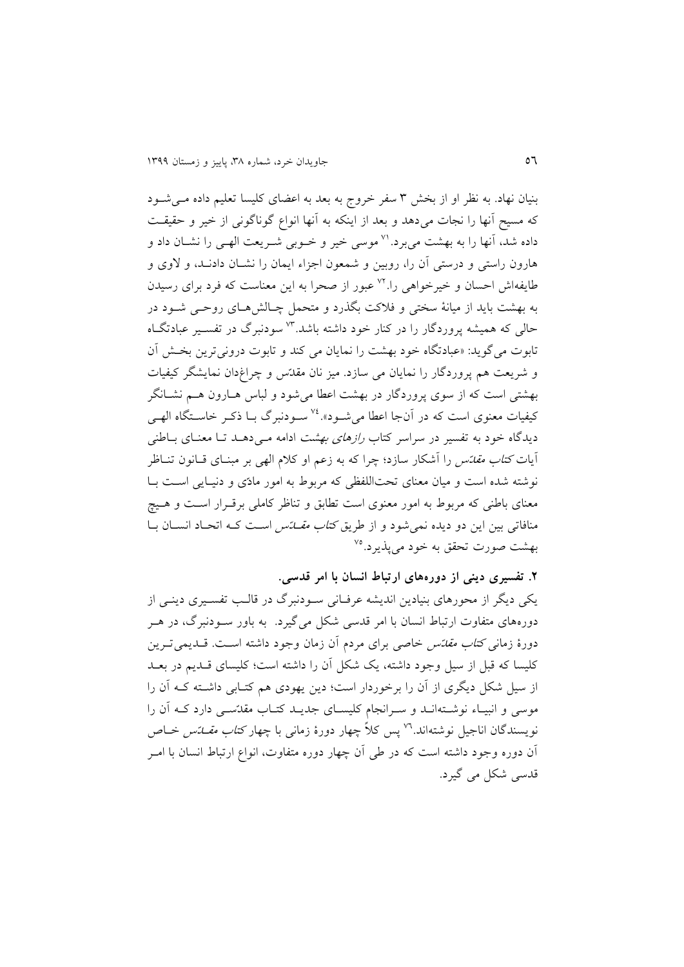بنیان نهاد. به نظر او از بخش ۳ سفر خروج به بعد به اعضای کلیسا تعلیم داده می شود که مسیح انها را نجات میدهد و بعد از اينکه به انها انواع گوناگونی از خیر و حقیقةت داده شد، آنها را به بهشت میبرد.'<sup>۷</sup> موسی خیر و خـوبی شـریعت الهـی را نشـان داد و هارون راستی و درستی آن را، روبین و شمعون اجزاء ایمان را نشـان دادنـد، و لاوی و طايفهاش احسان و خيرخواهی را.<sup>۷۲</sup> عبور از صحرا به اين معناست که فرد برای رسيدن به بهشت باید از میانۀ سختی و فلاکت بگذرد و متحمل چـالش هـای روحـی شـود در حالی که همیشه پروردگار را در کنار خود داشته باشد.<sup>۷۳</sup> سودنبرگ در تفسـیر عبادتگـاه تابوت می گويد: «عبادتگاه خود بهشت را نمايان می کند و تابوت درونی ترين بخش آن و شريعت هم پروردگار را نمايان می سازد. میز نان مقدّس و چراغدان نمايشرر کیفیات بهشتی است که از سوی پروردگار در بهشت اعطا می شود و لباس هــارون هــم نشــانگر کیفیات معنوی است که در آنجا اعطا میشود».<sup>۷۶</sup> سـودنبرگ بـا ذکـر خاسـتگاه الهـی دیدگاه خود به تفسیر در سراسر کتاب *رازهای بهشت* ادامه می دهـد تـا معنـای بـاطنی آيات *کتاب مقدّس* را آشکار سازد؛ چرا که به زعم او کلام الهی بر مبنـای قــانون تنــاظر نوشته شده است و میان معنای تحتاللفظی که مربوط به امور مادّی و دنیـایی اسـت بـا معنای باطنی که مربوط به امور معنوی است تطابق و تناظر کاملی برقـرار اسـت و هـیچ منافاتی بین این دو دیده نمی شود و از طریق *کتاب مقـــاتس* اسـت کــه اتحـاد انســان بــا بهشت صورت تحقق به خود میپذیرد.<sup>۷۵</sup>

**.6 تفسیری دینی از دورههای ارتباط انسان با امر قدسی.**

يکی ديگر از محورهای بنيادين انديشه عرفـانی سـودنبرگ در قالـب تفسـيری دينـی از دورههای متفاوت ارتباط انسان با امر قدسی شکل میگیرد. به باور سـودنبرگ، در هـر دورهٔ زمانی *کتاب مقدّس* خاصی برای مردم آن زمان وجود داشته اسـت. قــديمی تــرين کلیسا که قبل از سیل وجود داشته، يک شکل آن را داشته است؛ کلیسای قـدیم در بعـد از سیل شکل دیگری از آن را برخوردار است؛ دین یهودی هم کتـابی داشـته کـه آن را موسی و انبیـاء نوشــتهانــد و ســرانجام کلیســای جدیــد کتــاب مقدّســی دارد کــه آن را نویسندگان اناجیل نوشتهاند.<sup>۷۲</sup> پس کلاً چهار دورهٔ زمان<sub>ی</sub> با چهار *کتاب مقــلـتس* خــاص ان دوره وجود داشته است که در طی ان چهار دوره متفاوت، انواع ارتباط انسان با امةر قدسی شکل می گیرد.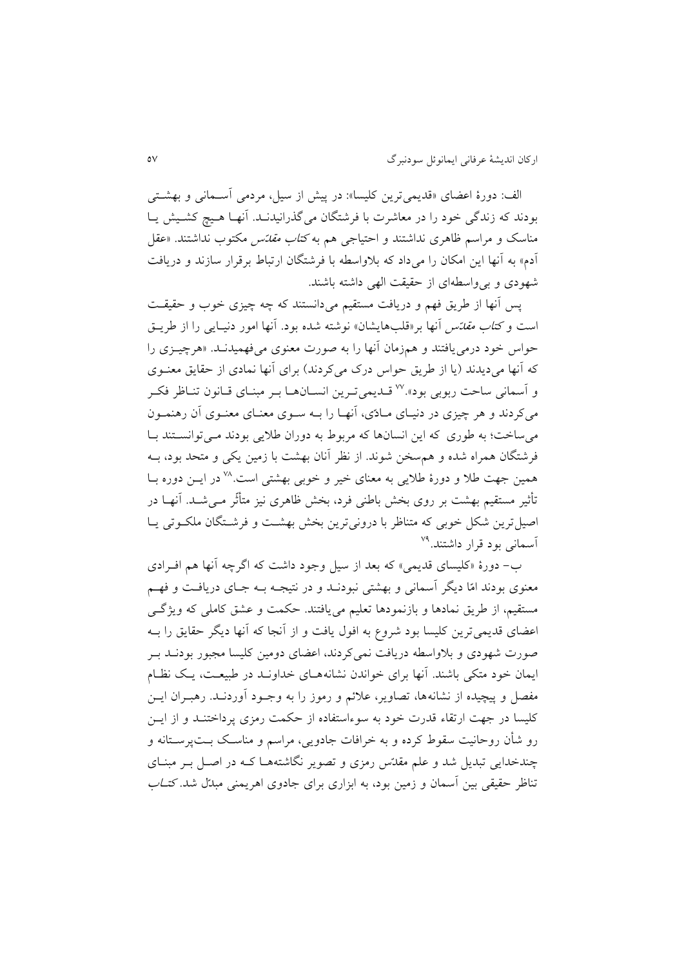الف: دورهٔ اعضای «قديمي ترين کليسا»: در پیش از سيل، مردمی آســمانی و بهشــتی بودند که زندگی خود را در معاشرت با فرشتگان میگذرانیدنـد. آنهـا هـیچ کشـیش یـا مناسک و مراسم ظاهری نداشتند و احتیاجی هم به *کتاب مقاتس* مکتوب نداشتند. «عقل آدم» به آنها اين امکان را میداد که بلاواسطه با فرشتگان ارتباط برقرار سازند و دريافت شهودی و بیواسطهای از حقیقت ابهی داشته باشند.

پس آنها از طريق فهم و دريافت مستقيم میدانستند که چه چيزی خوب و حقيقت است و *کتاب مقدّس* آنها بر«قلبهایشان» نوشته شده بود. آنها امور دنیـایی را از طریــق حواس خود درمیيافتند و همزمان انها را به صورت معنوی میفهمیدنةد. »هرچیةزی را که آنها می دیدند (يا از طريق حواس درک می کردند) برای آنها نمادی از حقايق معنـوی و أسماني ساحت ربوبی بود». <sup>۷۷</sup> قـديمیترين انسـانهـا بـر مبنـای قـانون تنـاظر فکـر میکردند و هر چیزی در دنیـای مـادّی، آنهـا را بــه سـوی معنـای معنـوی آن رهنمـون می ساخت؛ به طوری که این انسانها که مربوط به دوران طلایی بودند می توانستند با فرشتگان همراه شده و هم سخن شوند. از نظر أنان بهشت با زمین یکی و متحد بود، بــه همین جهت طلا و دورهٔ طلایی به معنای خیر و خوبی بهشتی است.<sup>۷۸</sup> در ایــن دوره بــا تأثیر مستقیم بهشت بر روی بخش باطنی فرد، بخش ظاهری نیز متأثّر مـی شــد. آنهــا در اصیل ترين شکل خوبی که متناظر با درونی ترين بخش بهشت و فرشــتگان ملکــوتی يــا <sup>آ</sup>سمانی بود قرار داشتند.<sup>۷۹</sup>

 - دورة »کلیسای قديمی« که بعد از سیل وجود داشت که اگرچه انها هم افةرادی معنوی بودند امّا ديگر اسمانی و بهشتی نبودنـد و در نتيجـه بـه جـای دريافـت و فهـم مستقیم، از طريق نمادها و بازنمودها تعلیم میيافتند. حکمت و عشق کاملی که ويژگةی اعضای قديمیترين کلیسا بود شروع به افول يافت و از انجا که انها ديرر حقايق را بةه صورت شهودی و بلاواسطه دریافت نمی کردند، اعضای دومین کلیسا مجبور بودنــد بــر ايمان خود متکی باشند. آنها برای خواندن نشانههـای خداونــد در طبیعــت، يــک نظــام مفصل و پیچیده از نشانهها، تصاویر، علائم و رموز را به وجـود آوردنـد. رهبـران ايــن کلیسا در جهت ارتقاء قدرت خود به سوءاستفاده از حکمت رمزی پرداختنـد و از ايــن رو شأن روحانیت سقوط کرده و به خرافات جادویی، مراسم و مناسک بـتپرسـتانه و چندخدايی تبديل شد و علم مقدّس رمزی و تصوير نگاشتههـا کـه در اصـل بـر مبنـای تناظر حقیقی بین آسمان و زمین بود، به ابزاری برای جادوی اهریمنی مبدّل شد. *کتـاب*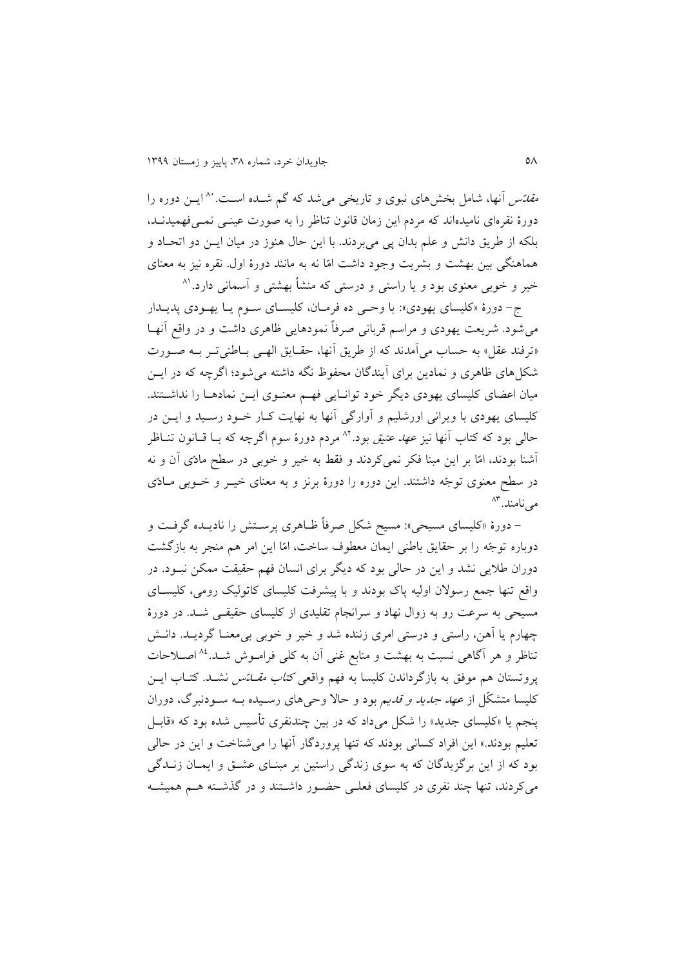*مقاتس* آنها، شامل بخشهای نبوی و تاریخی میشد که گم شــده اسـت. <sup>۸۰</sup> ایــن دوره را دورهٔ نقرهای نامیدهاند که مردم این زمان قانون تناظر را به صورت عینــی نمــیفهمیدنــد، بلکه از طريق دانش و علم بدان پی میبردند. با اين حال هنوز در ميان ايـن دو اتحـاد و هماهنری بین بهشت و بشريت وجود داشت امّا نه به مانند دورة اول. نقره نیز به معنای خیر و خوبی معنوی بود و یا راستی و درستی که منشأ بهشتی و اسمانی دارد.<sup>۸۱</sup>

ج- دورهٔ «کلیسای یهودی»: با وحمی ده فرمـان، کلیسـای سـوم يـا يهـودی پديـدار می شود. شريعت يهودی و مراسم قربانی صرفاً نمودهايی ظاهری داشت و در واقع أنهـا «ترفند عقل» به حساب می آمدند که از طريق آنها، حقـايق الهـی بـاطنیتـر بـه صـورت شکل های ظاهری و نمادين برای آيندگان محفوظ نگه داشته می شود؛ اگرچه که در ايــن میان اعضای کلیسای يهودی ديگر خود توانـايی فهـم معنـوی ايــن نمادهــا را نداشــتند. کلیسای يهودی با ويرانی اورشليم و آوارگی آنها به نهايت کـار خــود رسـيد و ايــن در حالی بود که کتاب آنها نیز *عهد عتیق بو*د.<sup>۸۲</sup> مردم دورهٔ سوم اگرچه که بـا قـانون تنــاظر اشنا بودند، امّا بر اين مبنا فکر نمیکردند و فقط به خیر و خوبی در سطح مادّی ان و نه در سطح معنوی توجّه داشتند. اين دوره را دورهٔ برنز و به معنای خیــر و خــوبی مــادّی مینامند.<sup>۸۳</sup>

- دورهٔ «کلیسای مسیحی»: مسیح شکل صرفاً ظـاهری پرسـتش را ناديــده گرفـت و دوباره توجّه را بر حقايق باطنی ايمان معطو ساخت، امّا اين امر هم منجر به بازگشت دوران طلايی نشد و اين در حالي بود که ديگر برای انسان فهم حقيقت ممکن نبـود. در واقع تنها جمع رسولان اولیه پاک بودند و با پیشرفت کلیسای کاتولیک رومی، کلیسای مسیحی به سرعت رو به زوال نهاد و سرانجام تقلیدی از کلیسای حقیقـی شـد. در دورهٔ چهارم يا آهن، راستی و درستی امری زننده شد و خیر و خوبی بی معنـا گرديــد. دانــش تناظر و هر آگاهی نسبت به بهشت و منابع غنی آن به کلی فرامـوش شـد.<sup>4</sup>^ اصـلاحات پروتستان هم موفق به بازگرداندن کلیسا به فهم واقعی *کتاب مقـــاتس* نشــد. کتــاب ايــن کلیسا متشکّل از *عهد جدید و قدیم* بود و حالا وحیهای رسـیده بـه سـودنبرگ، دوران پنجم يا «کليسای جديد» را شکل میداد که در بين چندنفری تأسيس شده بود که «قابـل تعلیم بودند.» این افراد کسانی بودند که تنها پروردگار آنها را می شناخت و این در حالی بود که از اين برگزيدگان که به سوی زندگی راستين بر مبنـای عشــق و ايمــان زنــدگی میکردند، تنها چند نفری در کلیسای فعلـی حضـور داشـتند و در گذشـته هـم همیشـه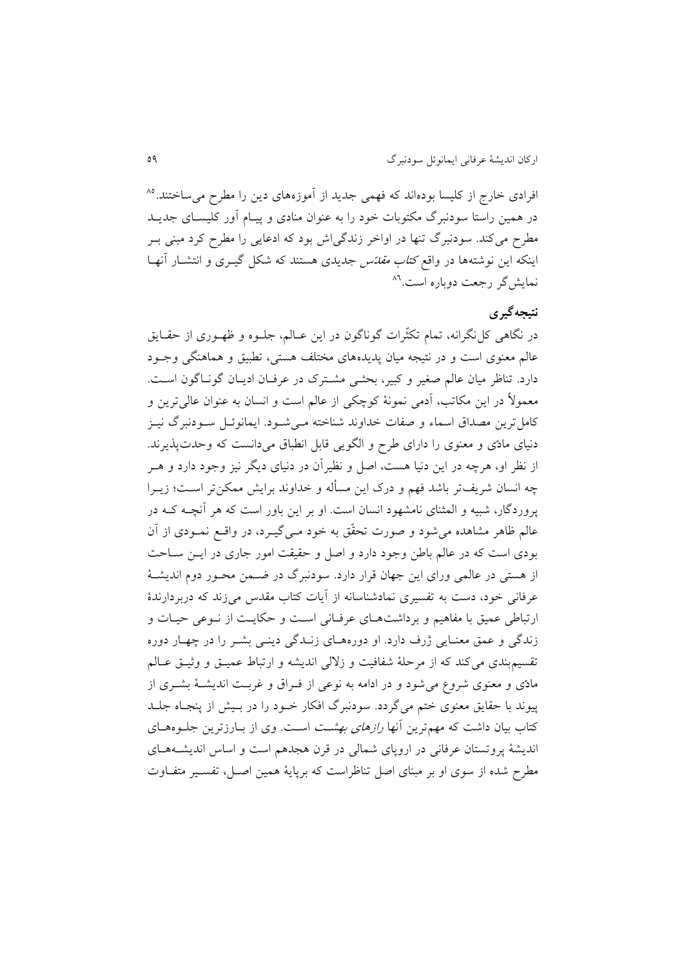<sup>فر</sup>ادی خارج از کلیسا بودهاند که فهمی جدید از اُموزههای دین را مطرح میٍساختند.<sup>۸۵</sup> در همین راستا سودنبرگ مکتوبات خود را به عنوان منادی و پیـام آور کلیسـای جدیـد مطرح میکند. سودنبرگ تنها در اواخر زندگیاش بود که ادعایی را مطرح کرد مبنی بـر اينکه اين نوشتهها در واقع *کتاب مقاتس جديدی هستند که شکل گيـری و انتشـار آنه*ـا نمايشگر رجعت دوباره است.<sup>۸٦</sup>

# **نتیجهگیری**

در نگاهی کل نگرانه، تمام تکثّرات گوناگون در اين عـالم، جلـوه و ظهـوری از حقـايق عالم معنوی است و در نتیجه میان پدیدههای مختلف هستی، تطبیق و هماهنگی وجـود دارد. تناظر میان عالم صغیر و کبیر، بحثمی مشترک در عرفان ادیـان گونـاگون اسـت. معمول در اين مکاتب، ادمی نمونۀ کوچکی از عابم است و انسان به عنوان عابیترين و کامل ترين مصداق اسماء و صفات خداوند شناخته مـیشـود. ايمانوئـل سـودنبرگ نيـز دنیای مادّی و معنوی را دارای طرح و الگويی قابل انطباق میدانست که وحدتپذيرند. از نظر او، هرچه در اين دنيا هست، اصل و نظيران در دنيای ديگر نيز وجود دارد و هــر چه انسان شريفتر باشد فهم و درک اين مسأله و خداوند برايش ممکنتر اسـت؛ زيــرا پروردگار، شبیه و ابمثنای نامشهود انسان است. او بر اين باور است که هر انچةه کةه در عالم ظاهر مشاهده می شود و صورت تحقّق به خود مـی گیــرد، در واقــع نمــودی از آن بودی است که در عالم باطن وجود دارد و اصل و حقیقت امور جاری در ایــن ســاحت از هستی در عالمی ورای اين جهان قرار دارد. سودنبرگ در ضـمن محـور دوم انديشـهٔ عرفانی خود، دست به تفسیری نمادشناسانه از آیات کتاب مقدس می زند که دربردارندهٔ ارتباطی عمیق با مفاهیم و برداشتهای عرفانی است و حکایت از نـوعی حیـات و زندگی و عمق معنـايی ژرف دارد. او دورههـای زنـدگی دينـی بشـر را در چهـار دوره تقسیمبندی میکند که از مرحلۀ شفافیت و زلبی انديشه و ارتباط عمیةق و وایةق عةابم مادّی و معنوی شروع می شود و در ادامه به نوعی از فـراق و غربـت اندیشـهٔ بشـری از پیوند با حقایق معنوی ختم میگردد. سودنبرگ افکار خـود را در بـیش از پنجـاه جلـد کتاب بیان داشت که مهمترین آنها *رازهای بهشت* است. وی از بـارزترین جلــوههــای انديشۀ پروتستان عرفانی در اروپای شمالی در قرن هجدهم است و اساس انديشـههـای مطرح شده از سوی او بر مبنای اصل تناظراست که برپایۀ همین اصـل، تفسـیر متفـاوت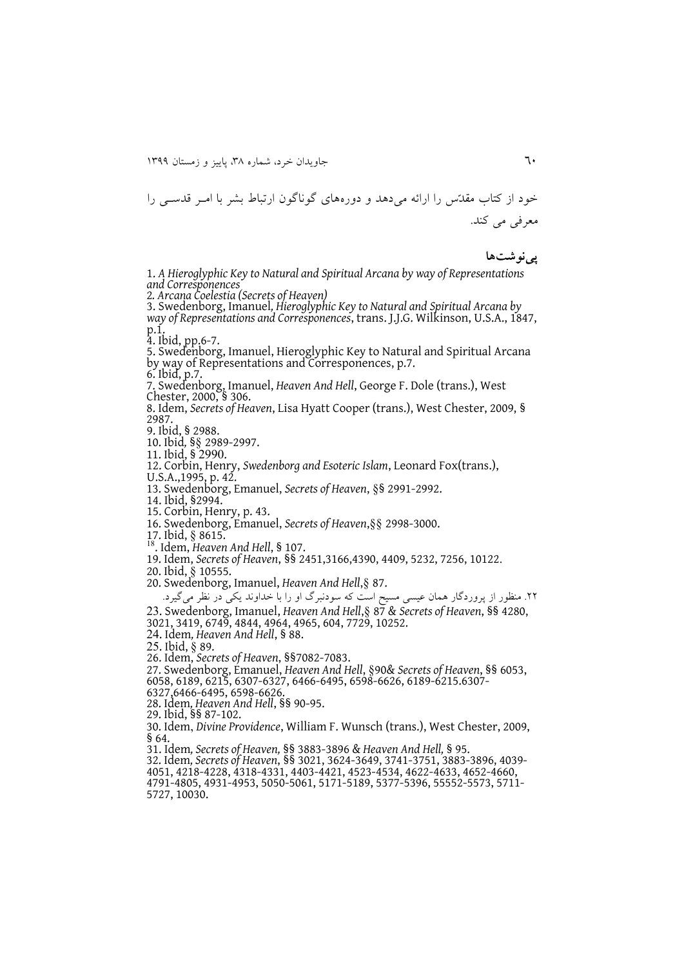خود از کتاب مقدّس را ارائه می دهد و دورههای گوناگون ارتباط بشر با امیر قدستی را معرفی می کند.

#### **پینوشتها**

1. *A Hieroglyphic Key to Natural and Spiritual Arcana by way of Representations and Corresponences* 

2*. Arcana Coelestia (Secrets of Heaven)*

3. Swedenborg, Imanuel*, Hieroglyphic Key to Natural and Spiritual Arcana by way of Representations and Corresponences*, trans. J.J.G. Wilkinson, U.S.A., 1847, p.1.

4. Ibid, pp.6-7.

5. Swedenborg, Imanuel, Hieroglyphic Key to Natural and Spiritual Arcana by way of Representations and Corresponences, p.7.

6. Ibid, p.7.

7. Swedenborg, Imanuel, *Heaven And Hell*, George F. Dole (trans.), West Chester, 2000, § 306.

8. Idem, *Secrets of Heaven*, Lisa Hyatt Cooper (trans.), West Chester, 2009, § 2987.

9. Ibid, § 2988.

10. Ibid*,* §§ 2989-2997.

11. Ibid, § 2990.

12. Corbin, Henry, *Swedenborg and Esoteric Islam*, Leonard Fox(trans.),

U.S.A.,1995, p. 42.

13. Swedenborg, Emanuel, *Secrets of Heaven*, §§ 2991-2992.

14. Ibid, §2994.

15. Corbin, Henry, p. 43.

16. Swedenborg, Emanuel, *Secrets of Heaven*,§§ 2998-3000.

17. Ibid, § 8615.

<sup>18</sup>. Idem, *Heaven And Hell*, § 107.

19. Idem, *Secrets of Heaven*, §§ 2451,3166,4390, 4409, 5232, 7256, 10122.

20. Ibid, § 10555.

20. Swedenborg, Imanuel, *Heaven And Hell*,§ 87.

.11 منظور از پروردگار همان عیسی مسیح است که سودنبرگ او را با خداوند يکی در نظر میگیرد.

02. Swedenborg, Imanuel, *Heaven And Hell*,§ 87 & *Secrets of Heaven*, §§ 4280,

3021, 3419, 6749, 4844, 4964, 4965, 604, 7729, 10252.

02. Idem*, Heaven And Hell*, § 88.

25. Ibid, § 89.

26. Idem, *Secrets of Heaven*, §§7082-7083.

27. Swedenborg, Emanuel, *Heaven And Hell*, §90& *Secrets of Heaven*, §§ 6053,

6058, 6189, 6215, 6307-6327, 6466-6495, 6598-6626, 6189-6215.6307-

6327,6466-6495, 6598-6626.

28. Idem*, Heaven And Hell*, §§ 90-95.

29. Ibid, §§ 87-102.

30. Idem, *Divine Providence*, William F. Wunsch (trans.), West Chester, 2009, § 64.

31. Idem*, Secrets of Heaven,* §§ 3883-3896 & *Heaven And Hell,* § 95.

32. Idem*, Secrets of Heaven*, §§ 3021, 3624-3649, 3741-3751, 3883-3896, 4039-

4051, 4218-4228, 4318-4331, 4403-4421, 4523-4534, 4622-4633, 4652-4660,

4791-4805, 4931-4953, 5050-5061, 5171-5189, 5377-5396, 55552-5573, 5711- 5727, 10030.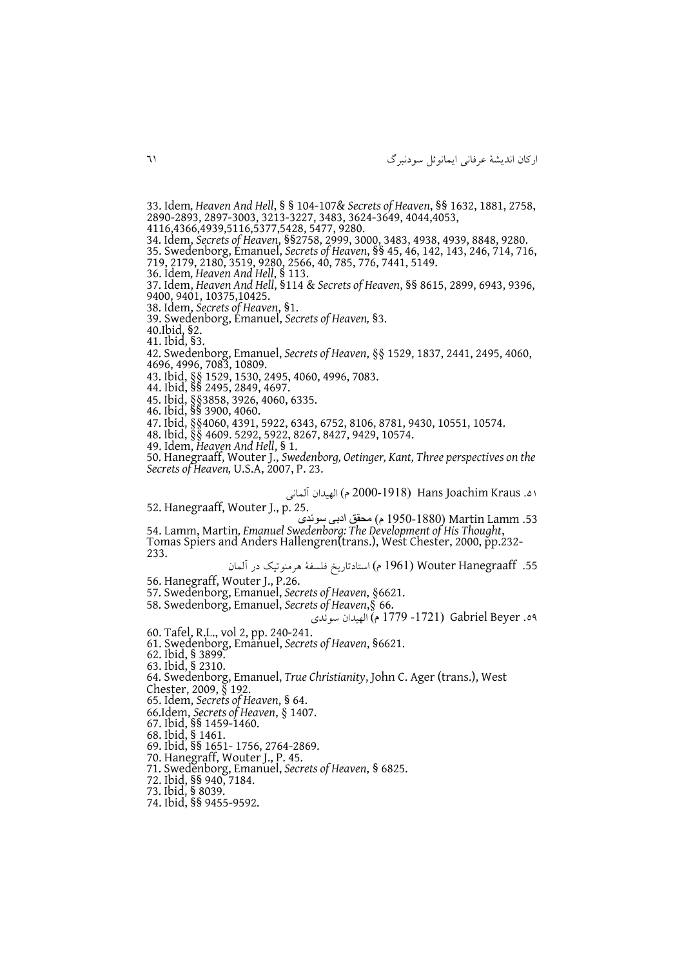33. Idem*, Heaven And Hell*, § § 104-107& *Secrets of Heaven*, §§ 1632, 1881, 2758, 2890-2893, 2897-3003, 3213-3227, 3483, 3624-3649, 4044,4053, 4116,4366,4939,5116,5377,5428, 5477, 9280. 34. Idem, *Secrets of Heaven*, §§2758, 2999, 3000, 3483, 4938, 4939, 8848, 9280. 35. Swedenborg, Emanuel, *Secrets of Heaven*, §§ 45, 46, 142, 143, 246, 714, 716, 719, 2179, 2180, 3519, 9280, 2566, 40, 785, 776, 7441, 5149. 36. Idem*, Heaven And Hell*, § 113. 37. Idem, *Heaven And Hell*, §114 & *Secrets of Heaven*, §§ 8615, 2899, 6943, 9396, 9400, 9401, 10375,10425. 38. Idem, *Secrets of Heaven*, §1. 39. Swedenborg, Emanuel, *Secrets of Heaven,* §3. 40.Ibid, §2. 41. Ibid, §3. 42. Swedenborg, Emanuel, *Secrets of Heaven*, §§ 1529, 1837, 2441, 2495, 4060, 4696, 4996, 7083, 10809. 43. Ibid, §§ 1529, 1530, 2495, 4060, 4996, 7083. 44. Ibid, §§ 2495, 2849, 4697. 45. Ibid, §§3858, 3926, 4060, 6335. 46. Ibid, §§ 3900, 4060. 47. Ibid, §§4060, 4391, 5922, 6343, 6752, 8106, 8781, 9430, 10551, 10574. 48. Ibid, §§ 4609. 5292, 5922, 8267, 8427, 9429, 10574. 49. Idem, *Heaven And Hell*, § 1. 50. Hanegraaff, Wouter J., *Swedenborg, Oetinger, Kant, Three perspectives on the Secrets of Heaven,* U.S.A, 2007, P. 23. .15 Kraus Joachim Hans( 0222-1918 م( ابهیدان ابمانی 52. Hanegraaff, Wouter J., p. 25. .53 Lamm Martin( 1922-1882 م( محقق ادبی سوئدی 54. Lamm, Martin*, Emanuel Swedenborg: The Development of His Thought*, Tomas Spiers and Anders Hallengren(trans.), West Chester, 2000, pp.232-233. .55 Hanegraaff Wouter( 1991 م( استادتاريخ فلسفۀ هرمنوتی در ابمان

56. Hanegraff, Wouter J., P.26.

57. Swedenborg, Emanuel, *Secrets of Heaven*, §6621.

58. Swedenborg, Emanuel, *Secrets of Heaven*,§ 66.

.11 Beyer Gabriel( -1201 1229 م( ابهیدان سوئدی

60. Tafel, R.L., vol 2, pp. 240-241.

61. Swedenborg, Emanuel, *Secrets of Heaven*, §6621.

62. Ibid, § 3899.

63. Ibid, § 2310.

64. Swedenborg, Emanuel, *True Christianity*, John C. Ager (trans.), West

Chester, 2009, § 192.

65. Idem, *Secrets of Heaven*, § 64.

66.Idem, *Secrets of Heaven*, § 1407.

67. Ibid, §§ 1459-1460.

68. Ibid, § 1461.

69. Ibid, §§ 1651- 1756, 2764-2869.

70. Hanegraff, Wouter J., P. 45.

71. Swedenborg, Emanuel, *Secrets of Heaven*, § 6825.

72. Ibid, §§ 940, 7184.

73. Ibid, § 8039.

74. Ibid, §§ 9455-9592.